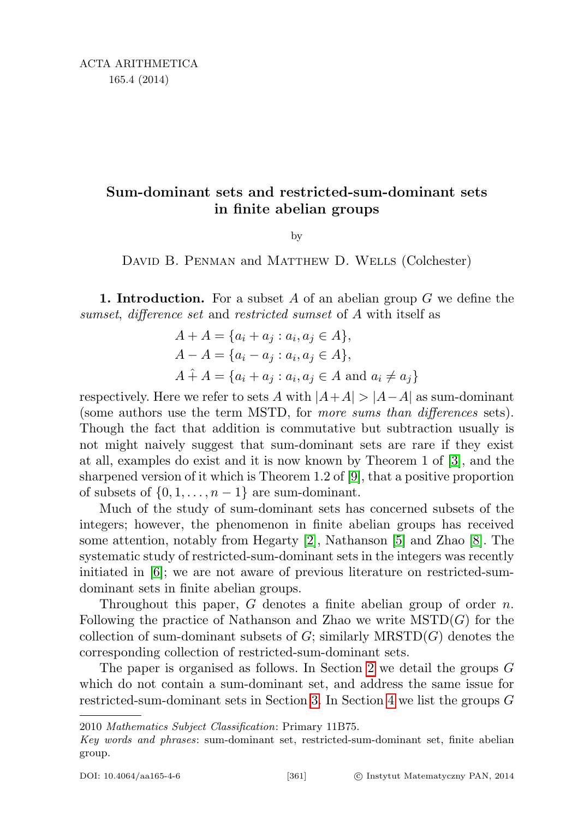# Sum-dominant sets and restricted-sum-dominant sets in finite abelian groups

by

DAVID B. PENMAN and MATTHEW D. WELLS (Colchester)

**1. Introduction.** For a subset A of an abelian group  $G$  we define the sumset, difference set and restricted sumset of A with itself as

$$
A + A = \{a_i + a_j : a_i, a_j \in A\},\
$$
  
\n
$$
A - A = \{a_i - a_j : a_i, a_j \in A\},\
$$
  
\n
$$
A + A = \{a_i + a_j : a_i, a_j \in A \text{ and } a_i \neq a_j\}
$$

respectively. Here we refer to sets A with  $|A+A| > |A-A|$  as sum-dominant (some authors use the term MSTD, for more sums than differences sets). Though the fact that addition is commutative but subtraction usually is not might naively suggest that sum-dominant sets are rare if they exist at all, examples do exist and it is now known by Theorem 1 of [\[3\]](#page-21-0), and the sharpened version of it which is Theorem 1.2 of [\[9\]](#page-22-0), that a positive proportion of subsets of  $\{0, 1, \ldots, n-1\}$  are sum-dominant.

Much of the study of sum-dominant sets has concerned subsets of the integers; however, the phenomenon in finite abelian groups has received some attention, notably from Hegarty [\[2\]](#page-21-1), Nathanson [\[5\]](#page-21-2) and Zhao [\[8\]](#page-22-1). The systematic study of restricted-sum-dominant sets in the integers was recently initiated in [\[6\]](#page-21-3); we are not aware of previous literature on restricted-sumdominant sets in finite abelian groups.

Throughout this paper,  $G$  denotes a finite abelian group of order  $n$ . Following the practice of Nathanson and Zhao we write  $MSTD(G)$  for the collection of sum-dominant subsets of  $G$ ; similarly MRSTD $(G)$  denotes the corresponding collection of restricted-sum-dominant sets.

The paper is organised as follows. In Section [2](#page-2-0) we detail the groups G which do not contain a sum-dominant set, and address the same issue for restricted-sum-dominant sets in Section [3.](#page-3-0) In Section [4](#page-4-0) we list the groups G

2010 Mathematics Subject Classification: Primary 11B75.

Key words and phrases: sum-dominant set, restricted-sum-dominant set, finite abelian group.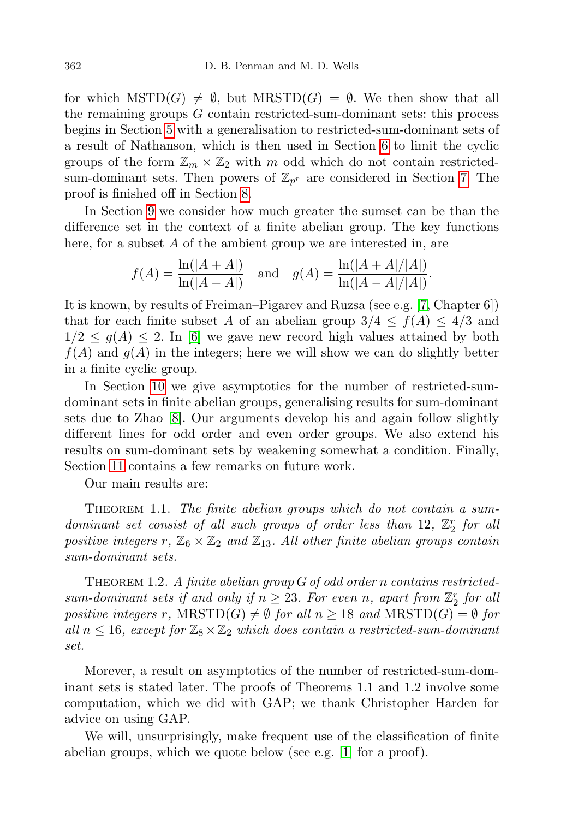for which  $MSTD(G) \neq \emptyset$ , but  $MRSTD(G) = \emptyset$ . We then show that all the remaining groups G contain restricted-sum-dominant sets: this process begins in Section [5](#page-4-1) with a generalisation to restricted-sum-dominant sets of a result of Nathanson, which is then used in Section [6](#page-6-0) to limit the cyclic groups of the form  $\mathbb{Z}_m \times \mathbb{Z}_2$  with m odd which do not contain restrictedsum-dominant sets. Then powers of  $\mathbb{Z}_{p^r}$  are considered in Section [7.](#page-7-0) The proof is finished off in Section [8.](#page-8-0)

In Section [9](#page-10-0) we consider how much greater the sumset can be than the difference set in the context of a finite abelian group. The key functions here, for a subset A of the ambient group we are interested in, are

$$
f(A) = \frac{\ln(|A+A|)}{\ln(|A-A|)}
$$
 and  $g(A) = \frac{\ln(|A+A|/|A|)}{\ln(|A-A|/|A|)}.$ 

It is known, by results of Freiman–Pigarev and Ruzsa (see e.g. [\[7,](#page-22-2) Chapter 6]) that for each finite subset A of an abelian group  $3/4 \le f(A) \le 4/3$  and  $1/2 \leq g(A) \leq 2$ . In [\[6\]](#page-21-3) we gave new record high values attained by both  $f(A)$  and  $g(A)$  in the integers; here we will show we can do slightly better in a finite cyclic group.

In Section [10](#page-12-0) we give asymptotics for the number of restricted-sumdominant sets in finite abelian groups, generalising results for sum-dominant sets due to Zhao [\[8\]](#page-22-1). Our arguments develop his and again follow slightly different lines for odd order and even order groups. We also extend his results on sum-dominant sets by weakening somewhat a condition. Finally, Section [11](#page-21-4) contains a few remarks on future work.

Our main results are:

<span id="page-1-0"></span>THEOREM 1.1. The finite abelian groups which do not contain a sumdominant set consist of all such groups of order less than 12,  $\mathbb{Z}_2^r$  for all positive integers r,  $\mathbb{Z}_6 \times \mathbb{Z}_2$  and  $\mathbb{Z}_{13}$ . All other finite abelian groups contain sum-dominant sets.

<span id="page-1-1"></span>THEOREM 1.2. A finite abelian group  $G$  of odd order n contains restrictedsum-dominant sets if and only if  $n \geq 23$ . For even n, apart from  $\mathbb{Z}_2^r$  for all positive integers r,  $MRSTD(G) \neq \emptyset$  for all  $n \geq 18$  and  $MRSTD(G) = \emptyset$  for all  $n \leq 16$ , except for  $\mathbb{Z}_8 \times \mathbb{Z}_2$  which does contain a restricted-sum-dominant set.

Morever, a result on asymptotics of the number of restricted-sum-dominant sets is stated later. The proofs of Theorems 1.1 and 1.2 involve some computation, which we did with GAP; we thank Christopher Harden for advice on using GAP.

We will, unsurprisingly, make frequent use of the classification of finite abelian groups, which we quote below (see e.g. [\[1\]](#page-21-5) for a proof).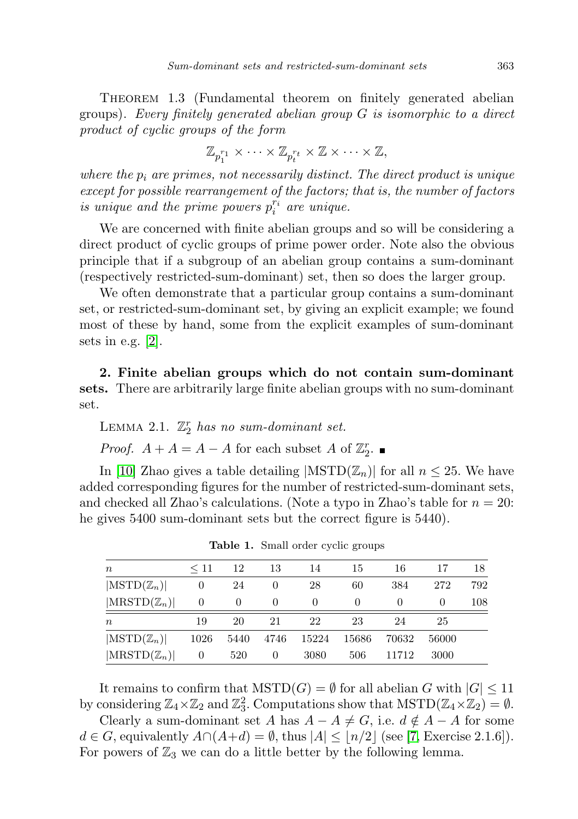THEOREM 1.3 (Fundamental theorem on finitely generated abelian groups). Every finitely generated abelian group  $G$  is isomorphic to a direct product of cyclic groups of the form

$$
\mathbb{Z}_{p_1^{r_1}} \times \cdots \times \mathbb{Z}_{p_t^{r_t}} \times \mathbb{Z} \times \cdots \times \mathbb{Z},
$$

where the  $p_i$  are primes, not necessarily distinct. The direct product is unique except for possible rearrangement of the factors; that is, the number of factors is unique and the prime powers  $p_i^{r_i}$  are unique.

We are concerned with finite abelian groups and so will be considering a direct product of cyclic groups of prime power order. Note also the obvious principle that if a subgroup of an abelian group contains a sum-dominant (respectively restricted-sum-dominant) set, then so does the larger group.

We often demonstrate that a particular group contains a sum-dominant set, or restricted-sum-dominant set, by giving an explicit example; we found most of these by hand, some from the explicit examples of sum-dominant sets in e.g. [\[2\]](#page-21-1).

<span id="page-2-0"></span>2. Finite abelian groups which do not contain sum-dominant sets. There are arbitrarily large finite abelian groups with no sum-dominant set.

LEMMA 2.1.  $\mathbb{Z}_2^r$  has no sum-dominant set. *Proof.*  $A + A = A - A$  for each subset A of  $\mathbb{Z}_2^r$ .

In [\[10\]](#page-22-3) Zhao gives a table detailing  $|\text{MSTD}(\mathbb{Z}_n)|$  for all  $n \leq 25$ . We have added corresponding figures for the number of restricted-sum-dominant sets, and checked all Zhao's calculations. (Note a typo in Zhao's table for  $n = 20$ : he gives 5400 sum-dominant sets but the correct figure is 5440).

| $\boldsymbol{n}$                | $\leq 11$ | 12       | 13       | 14               | 15       | 16    | 17       | 18  |
|---------------------------------|-----------|----------|----------|------------------|----------|-------|----------|-----|
| $ \mathrm{MSTD}(\mathbb{Z}_n) $ | 0         | 24       | $\theta$ | 28               | 60       | 384   | 272      | 792 |
| $ \text{MRSTD}(\mathbb{Z}_n) $  | $\theta$  | $\theta$ | $\theta$ | $\left( \right)$ | $\theta$ |       | $\theta$ | 108 |
| $\, n$                          | 19        | 20       | 21       | 22               | 23       | 24    | 25       |     |
| $ \mathrm{MSTD}(\mathbb{Z}_n) $ | 1026      | 5440     | 4746     | 15224            | 15686    | 70632 | 56000    |     |
| $ \text{MRSTD}(\mathbb{Z}_n) $  | 0         | 520      | $\theta$ | 3080             | 506      | 11712 | 3000     |     |

<span id="page-2-2"></span>Table 1. Small order cyclic groups

It remains to confirm that  $\text{MSTD}(G) = \emptyset$  for all abelian G with  $|G| \leq 11$ by considering  $\mathbb{Z}_4 \times \mathbb{Z}_2$  and  $\mathbb{Z}_3^2$ . Computations show that  $\mathrm{MSTD}(\mathbb{Z}_4 \times \mathbb{Z}_2) = \emptyset$ .

<span id="page-2-1"></span>Clearly a sum-dominant set A has  $A - A \neq G$ , i.e.  $d \notin A - A$  for some  $d \in G$ , equivalently  $A \cap (A+d) = \emptyset$ , thus  $|A| \leq |n/2|$  (see [\[7,](#page-22-2) Exercise 2.1.6]). For powers of  $\mathbb{Z}_3$  we can do a little better by the following lemma.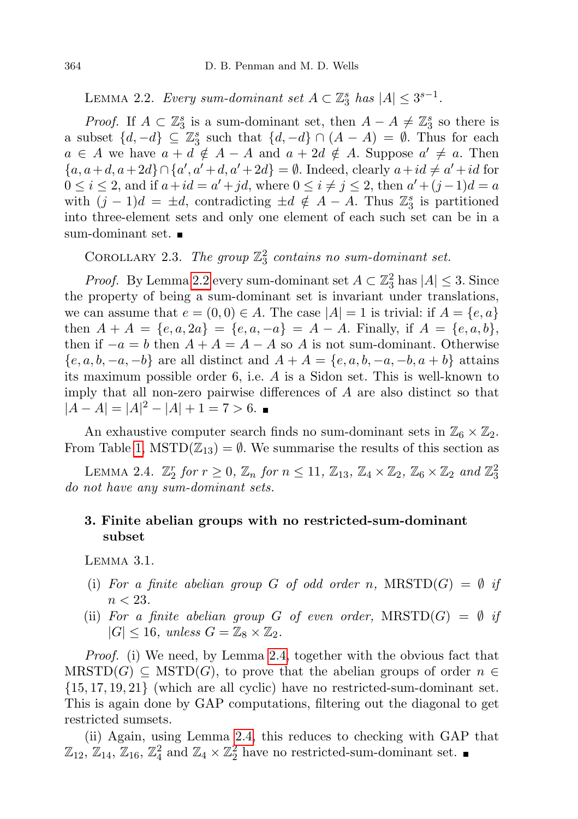LEMMA 2.2. Every sum-dominant set  $A \subset \mathbb{Z}_3^s$  has  $|A| \leq 3^{s-1}$ .

*Proof.* If  $A \subset \mathbb{Z}_3^s$  is a sum-dominant set, then  $A - A \neq \mathbb{Z}_3^s$  so there is a subset  $\{d, -d\} \subseteq \mathbb{Z}_3^s$  such that  $\{d, -d\} \cap (A - A) = \emptyset$ . Thus for each  $a \in A$  we have  $a + d \notin A - A$  and  $a + 2d \notin A$ . Suppose  $a' \neq a$ . Then  ${a, a+d, a+2d} \cap {a', a'+d, a'+2d} = \emptyset.$  Indeed, clearly  $a+id \neq a'+id$  for  $0 \leq i \leq 2$ , and if  $a + id = a' + jd$ , where  $0 \leq i \neq j \leq 2$ , then  $a' + (j - 1)d = a$ with  $(j-1)d = \pm d$ , contradicting  $\pm d \notin A - A$ . Thus  $\mathbb{Z}_3^s$  is partitioned into three-element sets and only one element of each such set can be in a sum-dominant set.

COROLLARY 2.3. The group  $\mathbb{Z}_3^2$  contains no sum-dominant set.

*Proof.* By Lemma [2.2](#page-2-1) every sum-dominant set  $A \subset \mathbb{Z}_3^2$  has  $|A| \leq 3$ . Since the property of being a sum-dominant set is invariant under translations, we can assume that  $e = (0, 0) \in A$ . The case  $|A| = 1$  is trivial: if  $A = \{e, a\}$ then  $A + A = \{e, a, 2a\} = \{e, a, -a\} = A - A$ . Finally, if  $A = \{e, a, b\}$ , then if  $-a = b$  then  $A + A = A - A$  so A is not sum-dominant. Otherwise  ${e, a, b, -a, -b}$  are all distinct and  $A + A = {e, a, b, -a, -b, a+b}$  attains its maximum possible order 6, i.e. A is a Sidon set. This is well-known to imply that all non-zero pairwise differences of A are also distinct so that  $|A - A| = |A|^2 - |A| + 1 = 7 > 6.$ 

An exhaustive computer search finds no sum-dominant sets in  $\mathbb{Z}_6 \times \mathbb{Z}_2$ . From Table [1,](#page-2-2)  $MSTD(\mathbb{Z}_{13}) = \emptyset$ . We summarise the results of this section as

<span id="page-3-1"></span>LEMMA 2.4.  $\mathbb{Z}_2^r$  for  $r \geq 0$ ,  $\mathbb{Z}_n$  for  $n \leq 11$ ,  $\mathbb{Z}_{13}$ ,  $\mathbb{Z}_4 \times \mathbb{Z}_2$ ,  $\mathbb{Z}_6 \times \mathbb{Z}_2$  and  $\mathbb{Z}_3^2$ do not have any sum-dominant sets.

## <span id="page-3-0"></span>3. Finite abelian groups with no restricted-sum-dominant subset

<span id="page-3-2"></span>Lemma 3.1.

- (i) For a finite abelian group G of odd order n,  $MRSTD(G) = \emptyset$  if  $n < 23$ .
- (ii) For a finite abelian group G of even order,  $MRSTD(G) = \emptyset$  if  $|G| \leq 16$ , unless  $G = \mathbb{Z}_8 \times \mathbb{Z}_2$ .

Proof. (i) We need, by Lemma [2.4,](#page-3-1) together with the obvious fact that  $M\{RSTD(G) \subseteq MSTD(G),\}$  to prove that the abelian groups of order  $n \in$ {15, 17, 19, 21} (which are all cyclic) have no restricted-sum-dominant set. This is again done by GAP computations, filtering out the diagonal to get restricted sumsets.

(ii) Again, using Lemma [2.4,](#page-3-1) this reduces to checking with GAP that  $\mathbb{Z}_{12}$ ,  $\mathbb{Z}_{14}$ ,  $\mathbb{Z}_{16}$ ,  $\mathbb{Z}_4^2$  and  $\mathbb{Z}_4 \times \mathbb{Z}_2^2$  have no restricted-sum-dominant set.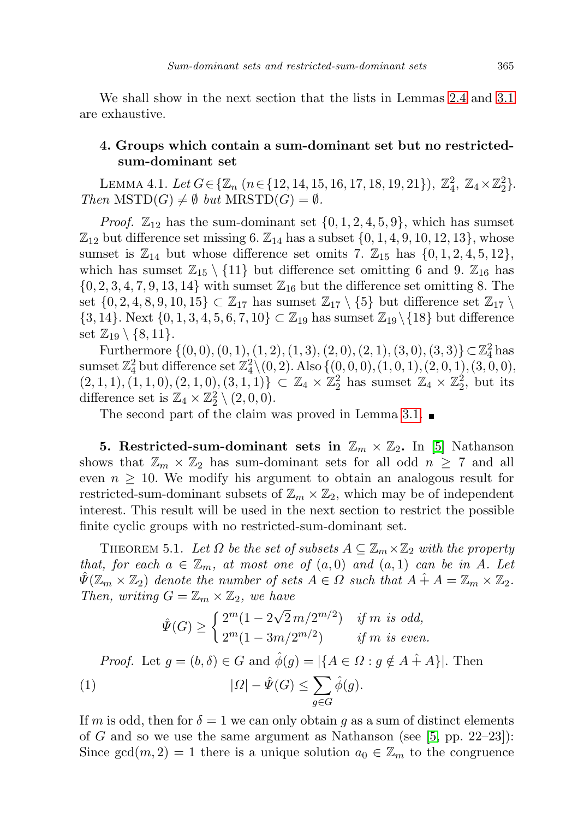We shall show in the next section that the lists in Lemmas [2.4](#page-3-1) and [3.1](#page-3-2) are exhaustive.

### <span id="page-4-0"></span>4. Groups which contain a sum-dominant set but no restrictedsum-dominant set

<span id="page-4-4"></span>LEMMA 4.1. Let  $G \in \{ \mathbb{Z}_n \ (n \in \{12, 14, 15, 16, 17, 18, 19, 21\}), \ \mathbb{Z}_4^2, \ \mathbb{Z}_4 \times \mathbb{Z}_2^2 \}.$ Then  $MSTD(G) \neq \emptyset$  but  $MRSTD(G) = \emptyset$ .

*Proof.*  $\mathbb{Z}_{12}$  has the sum-dominant set  $\{0, 1, 2, 4, 5, 9\}$ , which has sumset  $\mathbb{Z}_{12}$  but difference set missing 6.  $\mathbb{Z}_{14}$  has a subset  $\{0, 1, 4, 9, 10, 12, 13\}$ , whose sumset is  $\mathbb{Z}_{14}$  but whose difference set omits 7.  $\mathbb{Z}_{15}$  has  $\{0, 1, 2, 4, 5, 12\}$ , which has sumset  $\mathbb{Z}_{15} \setminus \{11\}$  but difference set omitting 6 and 9.  $\mathbb{Z}_{16}$  has  $\{0, 2, 3, 4, 7, 9, 13, 14\}$  with sumset  $\mathbb{Z}_{16}$  but the difference set omitting 8. The set  $\{0, 2, 4, 8, 9, 10, 15\} \subset \mathbb{Z}_{17}$  has sumset  $\mathbb{Z}_{17} \setminus \{5\}$  but difference set  $\mathbb{Z}_{17} \setminus$  $\{3, 14\}$ . Next  $\{0, 1, 3, 4, 5, 6, 7, 10\} \subset \mathbb{Z}_{19}$  has sumset  $\mathbb{Z}_{19} \setminus \{18\}$  but difference set  $\mathbb{Z}_{19} \setminus \{8, 11\}.$ 

Furthermore  $\{(0,0), (0,1), (1, 2), (1, 3), (2, 0), (2, 1), (3, 0), (3, 3)\}\subset \mathbb{Z}_4^2$  has  ${\rm sum set\,} \mathbb{Z}_4^2 \, {\rm but\, difference\, set\,} \mathbb{Z}_4^2 \backslash (0,2). \, {\rm Also}\, \{(0,0,0), (1,0,1), (2,0,1), (3,0,0),$  $(2, 1, 1), (1, 1, 0), (2, 1, 0), (3, 1, 1)$   $\subset \mathbb{Z}_4 \times \mathbb{Z}_2^2$  has sumset  $\mathbb{Z}_4 \times \mathbb{Z}_2^2$ , but its difference set is  $\mathbb{Z}_4 \times \mathbb{Z}_2^2 \setminus (2,0,0)$ .

The second part of the claim was proved in Lemma [3.1.](#page-3-2)

<span id="page-4-1"></span>5. Restricted-sum-dominant sets in  $\mathbb{Z}_m \times \mathbb{Z}_2$ . In [\[5\]](#page-21-2) Nathanson shows that  $\mathbb{Z}_m \times \mathbb{Z}_2$  has sum-dominant sets for all odd  $n \geq 7$  and all even  $n \geq 10$ . We modify his argument to obtain an analogous result for restricted-sum-dominant subsets of  $\mathbb{Z}_m \times \mathbb{Z}_2$ , which may be of independent interest. This result will be used in the next section to restrict the possible finite cyclic groups with no restricted-sum-dominant set.

<span id="page-4-3"></span>THEOREM 5.1. Let  $\Omega$  be the set of subsets  $A \subseteq \mathbb{Z}_m \times \mathbb{Z}_2$  with the property that, for each  $a \in \mathbb{Z}_m$ , at most one of  $(a,0)$  and  $(a,1)$  can be in A. Let  $\Psi(\mathbb{Z}_m \times \mathbb{Z}_2)$  denote the number of sets  $A \in \Omega$  such that  $A \hat{+} A = \mathbb{Z}_m \times \mathbb{Z}_2$ . Then, writing  $G = \mathbb{Z}_m \times \mathbb{Z}_2$ , we have

<span id="page-4-2"></span>
$$
\hat{\Psi}(G) \ge \begin{cases} 2^m(1 - 2\sqrt{2}m/2^{m/2}) & \text{if } m \text{ is odd,} \\ 2^m(1 - 3m/2^{m/2}) & \text{if } m \text{ is even.} \end{cases}
$$

*Proof.* Let  $g = (b, \delta) \in G$  and  $\hat{\phi}(g) = |\{A \in \Omega : g \notin A + A\}|$ . Then (1)  $|\Omega| - \hat{\Psi}(G) \leq \sum$ g∈G  $\hat{\phi}(g)$ .

If m is odd, then for  $\delta = 1$  we can only obtain g as a sum of distinct elements of G and so we use the same argument as Nathanson (see  $[5, pp. 22-23]$  $[5, pp. 22-23]$ ): Since  $gcd(m, 2) = 1$  there is a unique solution  $a_0 \in \mathbb{Z}_m$  to the congruence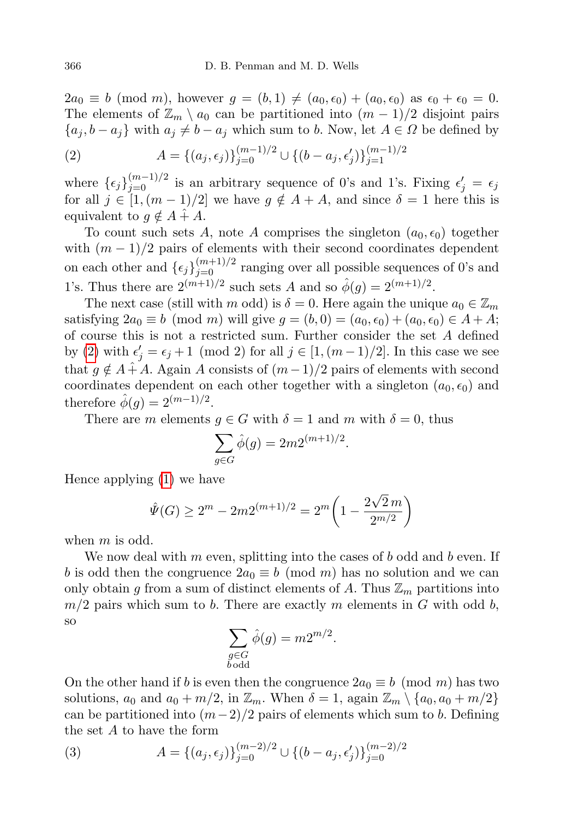$2a_0 \equiv b \pmod{m}$ , however  $q = (b, 1) \neq (a_0, \epsilon_0) + (a_0, \epsilon_0)$  as  $\epsilon_0 + \epsilon_0 = 0$ . The elements of  $\mathbb{Z}_m \setminus a_0$  can be partitioned into  $(m-1)/2$  disjoint pairs  ${a_j, b - a_j}$  with  $a_j \neq b - a_j$  which sum to b. Now, let  $A \in \Omega$  be defined by

<span id="page-5-0"></span>(2) 
$$
A = \{(a_j, \epsilon_j)\}_{j=0}^{(m-1)/2} \cup \{(b - a_j, \epsilon'_j)\}_{j=1}^{(m-1)/2}
$$

where  $\{\epsilon_j\}_{j=0}^{(m-1)/2}$  is an arbitrary sequence of 0's and 1's. Fixing  $\epsilon'_j = \epsilon_j$ for all  $j \in [1,(m-1)/2]$  we have  $g \notin A + A$ , and since  $\delta = 1$  here this is equivalent to  $g \notin A + A$ .

To count such sets A, note A comprises the singleton  $(a_0, \epsilon_0)$  together with  $(m-1)/2$  pairs of elements with their second coordinates dependent on each other and  $\{\epsilon_j\}_{j=0}^{(m+1)/2}$  ranging over all possible sequences of 0's and 1's. Thus there are  $2^{(m+1)/2}$  such sets A and so  $\hat{\phi}(g) = 2^{(m+1)/2}$ .

The next case (still with m odd) is  $\delta = 0$ . Here again the unique  $a_0 \in \mathbb{Z}_m$ satisfying  $2a_0 \equiv b \pmod{m}$  will give  $g = (b, 0) = (a_0, \epsilon_0) + (a_0, \epsilon_0) \in A + A;$ of course this is not a restricted sum. Further consider the set A defined by [\(2\)](#page-5-0) with  $\epsilon'_j = \epsilon_j + 1 \pmod{2}$  for all  $j \in [1, (m-1)/2]$ . In this case we see that  $g \notin A + A$ . Again A consists of  $(m-1)/2$  pairs of elements with second coordinates dependent on each other together with a singleton  $(a_0, \epsilon_0)$  and therefore  $\hat{\phi}(g) = 2^{(m-1)/2}$ .

There are m elements  $g \in G$  with  $\delta = 1$  and m with  $\delta = 0$ , thus

$$
\sum_{g \in G} \hat{\phi}(g) = 2m2^{(m+1)/2}
$$

.

Hence applying [\(1\)](#page-4-2) we have

$$
\hat{\Psi}(G) \ge 2^m - 2m2^{(m+1)/2} = 2^m \left( 1 - \frac{2\sqrt{2}m}{2^{m/2}} \right)
$$

when  $m$  is odd.

We now deal with  $m$  even, splitting into the cases of  $b$  odd and  $b$  even. If b is odd then the congruence  $2a_0 \equiv b \pmod{m}$  has no solution and we can only obtain g from a sum of distinct elements of A. Thus  $\mathbb{Z}_m$  partitions into  $m/2$  pairs which sum to b. There are exactly m elements in G with odd b, so

$$
\sum_{\substack{g \in G \\ b \text{ odd}}} \hat{\phi}(g) = m 2^{m/2}.
$$

On the other hand if b is even then the congruence  $2a_0 \equiv b \pmod{m}$  has two solutions,  $a_0$  and  $a_0 + m/2$ , in  $\mathbb{Z}_m$ . When  $\delta = 1$ , again  $\mathbb{Z}_m \setminus \{a_0, a_0 + m/2\}$ can be partitioned into  $(m-2)/2$  pairs of elements which sum to b. Defining the set A to have the form

<span id="page-5-1"></span>(3) 
$$
A = \{(a_j, \epsilon_j)\}_{j=0}^{(m-2)/2} \cup \{(b-a_j, \epsilon'_j)\}_{j=0}^{(m-2)/2}
$$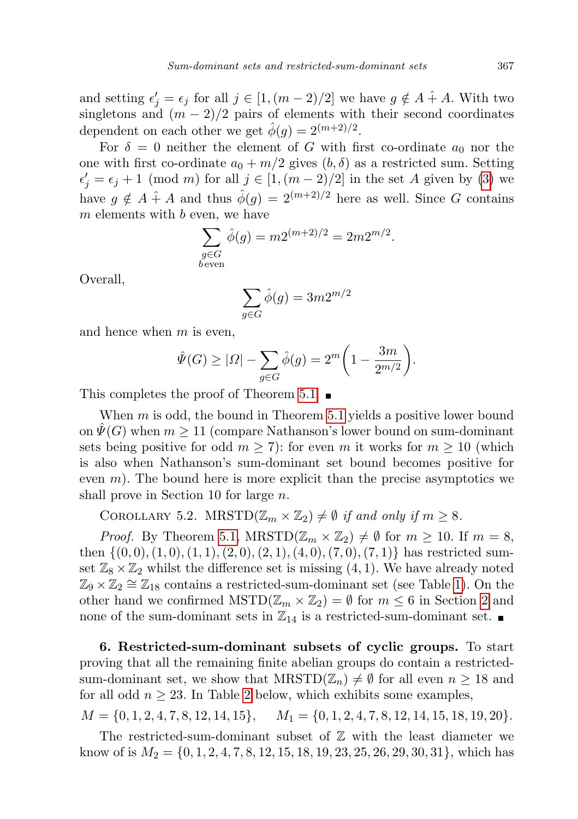and setting  $\epsilon'_j = \epsilon_j$  for all  $j \in [1, (m-2)/2]$  we have  $g \notin A + A$ . With two singletons and  $(m-2)/2$  pairs of elements with their second coordinates dependent on each other we get  $\hat{\phi}(g) = 2^{(m+2)/2}$ .

For  $\delta = 0$  neither the element of G with first co-ordinate  $a_0$  nor the one with first co-ordinate  $a_0 + m/2$  gives  $(b, \delta)$  as a restricted sum. Setting  $\epsilon'_{j} = \epsilon_{j} + 1 \pmod{m}$  for all  $j \in [1,(m-2)/2]$  in the set A given by [\(3\)](#page-5-1) we have  $g \notin A + A$  and thus  $\hat{\phi}(g) = 2^{(m+2)/2}$  here as well. Since G contains  $m$  elements with  $b$  even, we have

$$
\sum_{\substack{g \in G \\ b \text{ even}}} \hat{\phi}(g) = m 2^{(m+2)/2} = 2m 2^{m/2}.
$$

Overall,

$$
\sum_{g \in G} \hat{\phi}(g) = 3m2^{m/2}
$$

and hence when  $m$  is even,

$$
\hat{\Psi}(G) \geq |\Omega| - \sum_{g \in G} \hat{\phi}(g) = 2^m \bigg( 1 - \frac{3m}{2^{m/2}} \bigg).
$$

This completes the proof of Theorem [5.1.](#page-4-3)  $\blacksquare$ 

When  $m$  is odd, the bound in Theorem [5.1](#page-4-3) yields a positive lower bound on  $\Psi(G)$  when  $m \geq 11$  (compare Nathanson's lower bound on sum-dominant sets being positive for odd  $m \geq 7$ ): for even m it works for  $m \geq 10$  (which is also when Nathanson's sum-dominant set bound becomes positive for even  $m$ ). The bound here is more explicit than the precise asymptotics we shall prove in Section 10 for large n.

<span id="page-6-1"></span>COROLLARY 5.2. MRSTD $(\mathbb{Z}_m \times \mathbb{Z}_2) \neq \emptyset$  if and only if  $m \geq 8$ .

*Proof.* By Theorem [5.1,](#page-4-3)  $MRSTD(\mathbb{Z}_m \times \mathbb{Z}_2) \neq \emptyset$  for  $m \geq 10$ . If  $m = 8$ , then  $\{(0,0), (1,0), (1,1), (2,0), (2,1), (4,0), (7,0), (7,1)\}\$  has restricted sumset  $\mathbb{Z}_8 \times \mathbb{Z}_2$  whilst the difference set is missing  $(4, 1)$ . We have already noted  $\mathbb{Z}_9 \times \mathbb{Z}_2 \cong \mathbb{Z}_{18}$  contains a restricted-sum-dominant set (see Table [1\)](#page-2-2). On the other hand we confirmed  $\text{MSTD}(\mathbb{Z}_m \times \mathbb{Z}_2) = \emptyset$  for  $m \leq 6$  in Section [2](#page-2-0) and none of the sum-dominant sets in  $\mathbb{Z}_{14}$  is a restricted-sum-dominant set.

<span id="page-6-0"></span>6. Restricted-sum-dominant subsets of cyclic groups. To start proving that all the remaining finite abelian groups do contain a restrictedsum-dominant set, we show that  $M\text{RSTD}(\mathbb{Z}_n) \neq \emptyset$  for all even  $n \geq 18$  and for all odd  $n \geq 23$  $n \geq 23$  $n \geq 23$ . In Table 2 below, which exhibits some examples,

 $M = \{0, 1, 2, 4, 7, 8, 12, 14, 15\}, \quad M_1 = \{0, 1, 2, 4, 7, 8, 12, 14, 15, 18, 19, 20\}.$ 

The restricted-sum-dominant subset of  $\mathbb Z$  with the least diameter we know of is  $M_2 = \{0, 1, 2, 4, 7, 8, 12, 15, 18, 19, 23, 25, 26, 29, 30, 31\}$ , which has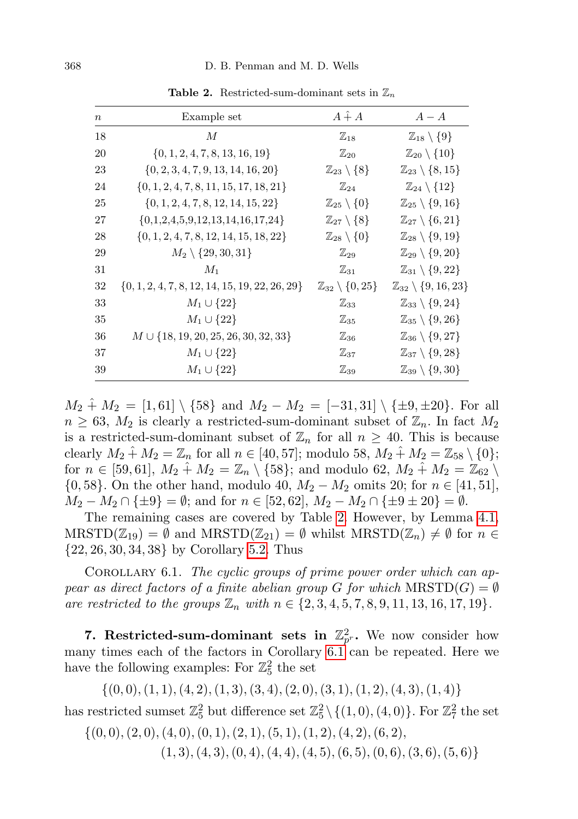| $\boldsymbol{n}$ | Example set                                        | $A \hat{+} A$                        | $A - A$                                   |
|------------------|----------------------------------------------------|--------------------------------------|-------------------------------------------|
| 18               | М                                                  | $\mathbb{Z}_{18}$                    | $\mathbb{Z}_{18}\setminus\{9\}$           |
| 20               | $\{0, 1, 2, 4, 7, 8, 13, 16, 19\}$                 | $\mathbb{Z}_{20}$                    | $\mathbb{Z}_{20}\setminus\{10\}$          |
| 23               | $\{0, 2, 3, 4, 7, 9, 13, 14, 16, 20\}$             | $\mathbb{Z}_{23}\setminus\{8\}$      | $\mathbb{Z}_{23} \setminus \{8, 15\}$     |
| 24               | $\{0, 1, 2, 4, 7, 8, 11, 15, 17, 18, 21\}$         | $\mathbb{Z}_{24}$                    | $\mathbb{Z}_{24}\setminus\{12\}$          |
| 25               | $\{0, 1, 2, 4, 7, 8, 12, 14, 15, 22\}$             | $\mathbb{Z}_{25}\setminus\{0\}$      | $\mathbb{Z}_{25} \setminus \{9, 16\}$     |
| 27               | $\{0,1,2,4,5,9,12,13,14,16,17,24\}$                | $\mathbb{Z}_{27}\setminus\{8\}$      | $\mathbb{Z}_{27}\setminus\{6,21\}$        |
| 28               | $\{0, 1, 2, 4, 7, 8, 12, 14, 15, 18, 22\}$         | $\mathbb{Z}_{28}\setminus\{0\}$      | $\mathbb{Z}_{28} \setminus \{9, 19\}$     |
| 29               | $M_2 \setminus \{29, 30, 31\}$                     | $\mathbb{Z}_{29}$                    | $\mathbb{Z}_{29}\setminus\{9,20\}$        |
| 31               | $M_1$                                              | $\mathbb{Z}_{31}$                    | $\mathbb{Z}_{31} \setminus \{9,22\}$      |
| 32               | $\{0, 1, 2, 4, 7, 8, 12, 14, 15, 19, 22, 26, 29\}$ | $\mathbb{Z}_{32} \setminus \{0,25\}$ | $\mathbb{Z}_{32} \setminus \{9, 16, 23\}$ |
| 33               | $M_1 \cup \{22\}$                                  | $\mathbb{Z}_{33}$                    | $\mathbb{Z}_{33} \setminus \{9,24\}$      |
| 35               | $M_1 \cup \{22\}$                                  | $\mathbb{Z}_{35}$                    | $\mathbb{Z}_{35} \setminus \{9,26\}$      |
| 36               | $M \cup \{18, 19, 20, 25, 26, 30, 32, 33\}$        | $\mathbb{Z}_{36}$                    | $\mathbb{Z}_{36} \setminus \{9,27\}$      |
| 37               | $M_1 \cup \{22\}$                                  | $\mathbb{Z}_{37}$                    | $\mathbb{Z}_{37} \setminus \{9,28\}$      |
| 39               | $M_1 \cup \{22\}$                                  | $\mathbb{Z}_{39}$                    | $\mathbb{Z}_{39} \setminus \{9,30\}$      |
|                  |                                                    |                                      |                                           |

<span id="page-7-1"></span>Table 2. Restricted-sum-dominant sets in  $\mathbb{Z}_n$ 

 $M_2 \hat{+} M_2 = [1, 61] \setminus \{58\}$  and  $M_2 - M_2 = [-31, 31] \setminus \{\pm 9, \pm 20\}.$  For all  $n \geq 63$ ,  $M_2$  is clearly a restricted-sum-dominant subset of  $\mathbb{Z}_n$ . In fact  $M_2$ is a restricted-sum-dominant subset of  $\mathbb{Z}_n$  for all  $n \geq 40$ . This is because clearly  $M_2 \hat{+} M_2 = \mathbb{Z}_n$  for all  $n \in [40, 57]$ ; modulo 58,  $M_2 \hat{+} M_2 = \mathbb{Z}_{58} \setminus \{0\}$ ; for  $n \in [59, 61]$ ,  $M_2 \hat{+} M_2 = \mathbb{Z}_n \setminus \{58\}$ ; and modulo 62,  $M_2 \hat{+} M_2 = \mathbb{Z}_{62} \setminus \{58\}$ {0,58}. On the other hand, modulo 40,  $M_2 - M_2$  omits 20; for  $n \in [41, 51]$ ,  $M_2 - M_2 \cap {\pm 9} = \emptyset$ ; and for  $n \in [52, 62]$ ,  $M_2 - M_2 \cap {\pm 9 \pm 20} = \emptyset$ .

The remaining cases are covered by Table [2.](#page-7-1) However, by Lemma [4.1,](#page-4-4)  $MRSTD(\mathbb{Z}_{19}) = \emptyset$  and  $MRSTD(\mathbb{Z}_{21}) = \emptyset$  whilst  $MRSTD(\mathbb{Z}_n) \neq \emptyset$  for  $n \in \mathbb{Z}_{21}$ {22, 26, 30, 34, 38} by Corollary [5.2.](#page-6-1) Thus

<span id="page-7-2"></span>COROLLARY 6.1. The cyclic groups of prime power order which can appear as direct factors of a finite abelian group G for which  $M\text{RSTD}(G) = \emptyset$ are restricted to the groups  $\mathbb{Z}_n$  with  $n \in \{2, 3, 4, 5, 7, 8, 9, 11, 13, 16, 17, 19\}.$ 

<span id="page-7-0"></span>7. Restricted-sum-dominant sets in  $\mathbb{Z}_{p^r}^2$ . We now consider how many times each of the factors in Corollary [6.1](#page-7-2) can be repeated. Here we have the following examples: For  $\mathbb{Z}_5^2$  the set

 $\{(0,0), (1, 1), (4, 2), (1, 3), (3, 4), (2, 0), (3, 1), (1, 2), (4, 3), (1, 4)\}$ 

has restricted sumset  $\mathbb{Z}_5^2$  but difference set  $\mathbb{Z}_5^2 \setminus \{(1,0), (4,0)\}$ . For  $\mathbb{Z}_7^2$  the set

 $\{(0,0), (2,0), (4,0), (0,1), (2, 1), (5, 1), (1, 2), (4, 2), (6, 2),\}$  $(1, 3), (4, 3), (0, 4), (4, 4), (4, 5), (6, 5), (0, 6), (3, 6), (5, 6)$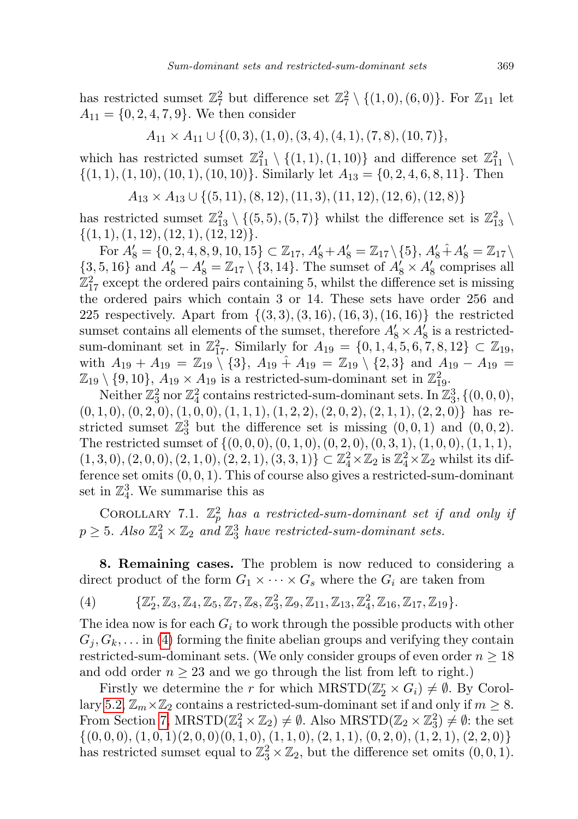has restricted sumset  $\mathbb{Z}_7^2$  but difference set  $\mathbb{Z}_7^2 \setminus \{(1,0), (6,0)\}$ . For  $\mathbb{Z}_{11}$  let  $A_{11} = \{0, 2, 4, 7, 9\}$ . We then consider

$$
A_{11} \times A_{11} \cup \{(0,3), (1,0), (3,4), (4,1), (7,8), (10,7)\},\
$$

which has restricted sumset  $\mathbb{Z}_{11}^2 \setminus \{(1,1), (1,10)\}$  and difference set  $\mathbb{Z}_{11}^2 \setminus$  $\{(1, 1), (1, 10), (10, 1), (10, 10)\}.$  Similarly let  $A_{13} = \{0, 2, 4, 6, 8, 11\}.$  Then

 $A_{13} \times A_{13} \cup \{(5, 11), (8, 12), (11, 3), (11, 12), (12, 6), (12, 8)\}\$ 

has restricted sumset  $\mathbb{Z}_{13}^2 \setminus \{(5,5), (5,7)\}$  whilst the difference set is  $\mathbb{Z}_{13}^2 \setminus$  $\{(1, 1), (1, 12), (12, 1), (12, 12)\}.$ 

For  $A'_8 = \{0, 2, 4, 8, 9, 10, 15\} \subset \mathbb{Z}_{17}, A'_8 + A'_8 = \mathbb{Z}_{17} \setminus \{5\}, A'_8 + A'_8 = \mathbb{Z}_{17} \setminus$  $\{3, 5, 16\}$  and  $A'_8 - A'_8 = \mathbb{Z}_{17} \setminus \{3, 14\}$ . The sumset of  $A'_8 \times A'_8$  comprises all  $\mathbb{Z}^2_{17}$  except the ordered pairs containing 5, whilst the difference set is missing the ordered pairs which contain 3 or 14. These sets have order 256 and 225 respectively. Apart from  $\{(3,3), (3,16), (16,3), (16,16)\}$  the restricted sumset contains all elements of the sumset, therefore  $A'_8 \times A'_8$  is a restrictedsum-dominant set in  $\mathbb{Z}_{17}^2$ . Similarly for  $A_{19} = \{0, 1, 4, 5, 6, 7, 8, 12\} \subset \mathbb{Z}_{19}$ , with  $A_{19} + A_{19} = \mathbb{Z}_{19} \setminus \{3\}, A_{19} + A_{19} = \mathbb{Z}_{19} \setminus \{2,3\}$  and  $A_{19} - A_{19} =$  $\mathbb{Z}_{19} \setminus \{9, 10\}, A_{19} \times A_{19}$  is a restricted-sum-dominant set in  $\mathbb{Z}_{19}^2$ .

Neither  $\mathbb{Z}_3^2$  nor  $\mathbb{Z}_4^2$  contains restricted-sum-dominant sets. In  $\mathbb{Z}_3^3, \{(0,0,0),$  $(0, 1, 0), (0, 2, 0), (1, 0, 0), (1, 1, 1), (1, 2, 2), (2, 0, 2), (2, 1, 1), (2, 2, 0)$  has restricted sumset  $\mathbb{Z}_3^3$  but the difference set is missing  $(0,0,1)$  and  $(0,0,2)$ . The restricted sumset of  $\{(0, 0, 0), (0, 1, 0), (0, 2, 0), (0, 3, 1), (1, 0, 0), (1, 1, 1),$  $(1, 3, 0), (2, 0, 0), (2, 1, 0), (2, 2, 1), (3, 3, 1)$   $\subset \mathbb{Z}_4^2 \times \mathbb{Z}_2$  is  $\mathbb{Z}_4^2 \times \mathbb{Z}_2$  whilst its difference set omits  $(0, 0, 1)$ . This of course also gives a restricted-sum-dominant set in  $\mathbb{Z}_4^3$ . We summarise this as

COROLLARY 7.1.  $\mathbb{Z}_p^2$  has a restricted-sum-dominant set if and only if  $p \geq 5$ . Also  $\mathbb{Z}_4^2 \times \mathbb{Z}_2$  and  $\mathbb{Z}_3^3$  have restricted-sum-dominant sets.

<span id="page-8-0"></span>8. Remaining cases. The problem is now reduced to considering a direct product of the form  $G_1 \times \cdots \times G_s$  where the  $G_i$  are taken from

<span id="page-8-1"></span>
$$
(4) \qquad \{ \mathbb{Z}_2^r, \mathbb{Z}_3, \mathbb{Z}_4, \mathbb{Z}_5, \mathbb{Z}_7, \mathbb{Z}_8, \mathbb{Z}_3^2, \mathbb{Z}_9, \mathbb{Z}_{11}, \mathbb{Z}_{13}, \mathbb{Z}_4^2, \mathbb{Z}_{16}, \mathbb{Z}_{17}, \mathbb{Z}_{19} \}.
$$

The idea now is for each  $G_i$  to work through the possible products with other  $G_i, G_k, \ldots$  in [\(4\)](#page-8-1) forming the finite abelian groups and verifying they contain restricted-sum-dominant sets. (We only consider groups of even order  $n \geq 18$ and odd order  $n \geq 23$  and we go through the list from left to right.)

Firstly we determine the r for which  $MRSTD(\mathbb{Z}_2^r \times G_i) \neq \emptyset$ . By Corol-lary [5.2,](#page-6-1)  $\mathbb{Z}_m \times \mathbb{Z}_2$  contains a restricted-sum-dominant set if and only if  $m \geq 8$ . From Section [7,](#page-7-0)  $MRSTD(\mathbb{Z}_4^2 \times \mathbb{Z}_2) \neq \emptyset$ . Also  $MRSTD(\mathbb{Z}_2 \times \mathbb{Z}_3^2) \neq \emptyset$ : the set  $\{(0,0,0), (1,0,1)(2,0,0)(0,1,0), (1,1,0), (2,1,1), (0,2,0), (1,2,1), (2,2,0)\}$ has restricted sumset equal to  $\mathbb{Z}_3^2 \times \mathbb{Z}_2$ , but the difference set omits  $(0,0,1)$ .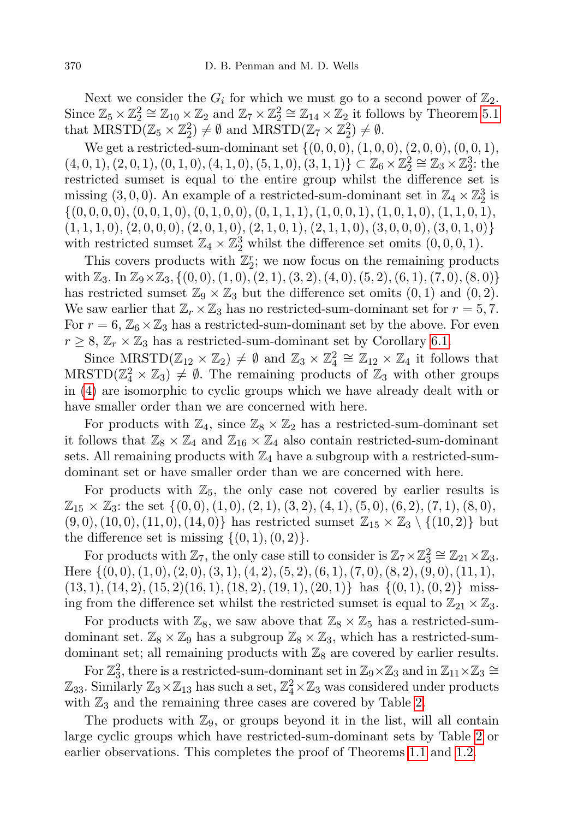Next we consider the  $G_i$  for which we must go to a second power of  $\mathbb{Z}_2$ . Since  $\mathbb{Z}_5 \times \mathbb{Z}_2^2 \cong \mathbb{Z}_{10} \times \mathbb{Z}_2$  and  $\mathbb{Z}_7 \times \mathbb{Z}_2^2 \cong \mathbb{Z}_{14} \times \mathbb{Z}_2$  it follows by Theorem [5.1](#page-4-3) that  $MRSTD(\mathbb{Z}_5 \times \mathbb{Z}_2^2) \neq \emptyset$  and  $MRSTD(\mathbb{Z}_7 \times \mathbb{Z}_2^2) \neq \emptyset$ .

We get a restricted-sum-dominant set  $\{(0,0,0), (1,0,0), (2,0,0), (0,0,1),\}$  $(4, 0, 1), (2, 0, 1), (0, 1, 0), (4, 1, 0), (5, 1, 0), (3, 1, 1)$   $\subset \mathbb{Z}_6 \times \mathbb{Z}_2^2 \cong \mathbb{Z}_3 \times \mathbb{Z}_2^3$ : the restricted sumset is equal to the entire group whilst the difference set is missing (3,0,0). An example of a restricted-sum-dominant set in  $\mathbb{Z}_4 \times \mathbb{Z}_2^3$  is  $\{(0, 0, 0, 0), (0, 0, 1, 0), (0, 1, 0, 0), (0, 1, 1, 1), (1, 0, 0, 1), (1, 0, 1, 0), (1, 1, 0, 1),$  $(1, 1, 1, 0), (2, 0, 0, 0), (2, 0, 1, 0), (2, 1, 0, 1), (2, 1, 1, 0), (3, 0, 0, 0), (3, 0, 1, 0)$ with restricted sumset  $\mathbb{Z}_4 \times \mathbb{Z}_2^3$  whilst the difference set omits  $(0,0,0,1)$ .

This covers products with  $\mathbb{Z}_2^r$ ; we now focus on the remaining products with  $\mathbb{Z}_3$ . In  $\mathbb{Z}_9\times\mathbb{Z}_3$ , {(0, 0), (1, 0), (2, 1), (3, 2), (4, 0), (5, 2), (6, 1), (7, 0), (8, 0)} has restricted sumset  $\mathbb{Z}_9 \times \mathbb{Z}_3$  but the difference set omits  $(0, 1)$  and  $(0, 2)$ . We saw earlier that  $\mathbb{Z}_r \times \mathbb{Z}_3$  has no restricted-sum-dominant set for  $r = 5, 7$ . For  $r = 6$ ,  $\mathbb{Z}_6 \times \mathbb{Z}_3$  has a restricted-sum-dominant set by the above. For even  $r \geq 8$ ,  $\mathbb{Z}_r \times \mathbb{Z}_3$  has a restricted-sum-dominant set by Corollary [6.1.](#page-7-2)

Since  $M\text{RSTD}(\mathbb{Z}_{12} \times \mathbb{Z}_2) \neq \emptyset$  and  $\mathbb{Z}_3 \times \mathbb{Z}_4^2 \cong \mathbb{Z}_{12} \times \mathbb{Z}_4$  it follows that  $MRSTD(\mathbb{Z}_{4}^{2} \times \mathbb{Z}_{3}) \neq \emptyset$ . The remaining products of  $\mathbb{Z}_{3}$  with other groups in [\(4\)](#page-8-1) are isomorphic to cyclic groups which we have already dealt with or have smaller order than we are concerned with here.

For products with  $\mathbb{Z}_4$ , since  $\mathbb{Z}_8 \times \mathbb{Z}_2$  has a restricted-sum-dominant set it follows that  $\mathbb{Z}_8 \times \mathbb{Z}_4$  and  $\mathbb{Z}_{16} \times \mathbb{Z}_4$  also contain restricted-sum-dominant sets. All remaining products with  $\mathbb{Z}_4$  have a subgroup with a restricted-sumdominant set or have smaller order than we are concerned with here.

For products with  $\mathbb{Z}_5$ , the only case not covered by earlier results is  $\mathbb{Z}_{15} \times \mathbb{Z}_3$ : the set  $\{(0,0), (1,0), (2,1), (3,2), (4,1), (5,0), (6,2), (7,1), (8,0),\}$  $(9, 0), (10, 0), (11, 0), (14, 0)$ } has restricted sumset  $\mathbb{Z}_{15} \times \mathbb{Z}_3 \setminus \{(10, 2)\}\$  but the difference set is missing  $\{(0, 1), (0, 2)\}.$ 

For products with  $\mathbb{Z}_7$ , the only case still to consider is  $\mathbb{Z}_7 \times \mathbb{Z}_3^2 \cong \mathbb{Z}_{21} \times \mathbb{Z}_3$ . Here  $\{(0,0), (1,0), (2,0), (3, 1), (4, 2), (5, 2), (6, 1), (7, 0), (8, 2), (9, 0), (11, 1),$  $(13, 1), (14, 2), (15, 2), (16, 1), (18, 2), (19, 1), (20, 1)$  has  $\{(0, 1), (0, 2)\}$  missing from the difference set whilst the restricted sumset is equal to  $\mathbb{Z}_{21} \times \mathbb{Z}_3$ .

For products with  $\mathbb{Z}_8$ , we saw above that  $\mathbb{Z}_8 \times \mathbb{Z}_5$  has a restricted-sumdominant set.  $\mathbb{Z}_8 \times \mathbb{Z}_9$  has a subgroup  $\mathbb{Z}_8 \times \mathbb{Z}_3$ , which has a restricted-sumdominant set; all remaining products with  $\mathbb{Z}_8$  are covered by earlier results.

For  $\mathbb{Z}_3^2$ , there is a restricted-sum-dominant set in  $\mathbb{Z}_9 \times \mathbb{Z}_3$  and in  $\mathbb{Z}_{11} \times \mathbb{Z}_3 \cong$  $\mathbb{Z}_{33}$ . Similarly  $\mathbb{Z}_{3} \times \mathbb{Z}_{13}$  has such a set,  $\mathbb{Z}_{4}^{2} \times \mathbb{Z}_{3}$  was considered under products with  $\mathbb{Z}_3$  and the remaining three cases are covered by Table [2.](#page-7-1)

The products with  $\mathbb{Z}_9$ , or groups beyond it in the list, will all contain large cyclic groups which have restricted-sum-dominant sets by Table [2](#page-7-1) or earlier observations. This completes the proof of Theorems [1.1](#page-1-0) and [1.2.](#page-1-1)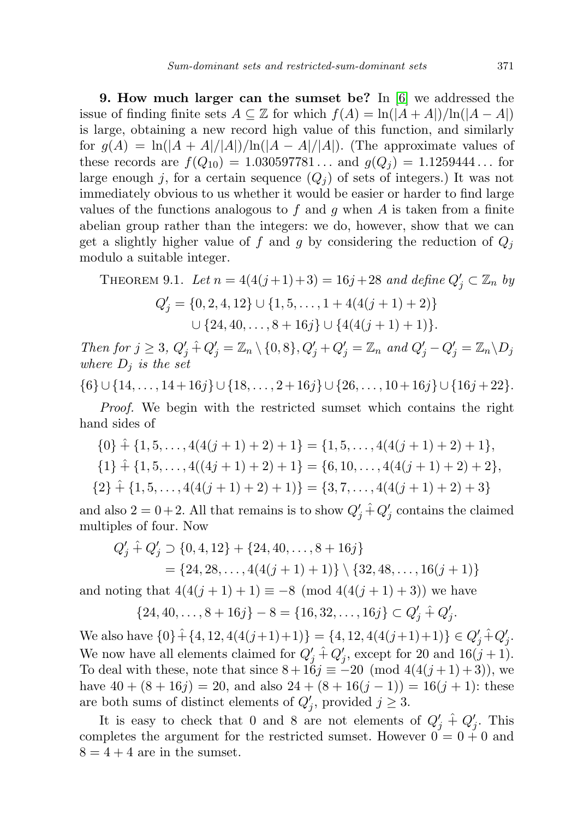<span id="page-10-0"></span>9. How much larger can the sumset be? In [\[6\]](#page-21-3) we addressed the issue of finding finite sets  $A \subseteq \mathbb{Z}$  for which  $f(A) = \ln(|A + A|)/\ln(|A - A|)$ is large, obtaining a new record high value of this function, and similarly for  $g(A) = \ln(|A + A|/|A|)/\ln(|A - A|/|A|)$ . (The approximate values of these records are  $f(Q_{10}) = 1.030597781...$  and  $g(Q_j) = 1.1259444...$  for large enough j, for a certain sequence  $(Q_i)$  of sets of integers.) It was not immediately obvious to us whether it would be easier or harder to find large values of the functions analogous to f and g when A is taken from a finite abelian group rather than the integers: we do, however, show that we can get a slightly higher value of f and g by considering the reduction of  $Q_i$ modulo a suitable integer.

<span id="page-10-1"></span>THEOREM 9.1. Let 
$$
n = 4(4(j+1)+3) = 16j+28
$$
 and define  $Q'_j \subset \mathbb{Z}_n$  by  
\n
$$
Q'_j = \{0, 2, 4, 12\} \cup \{1, 5, \dots, 1 + 4(4(j+1)+2)\}
$$
\n
$$
\cup \{24, 40, \dots, 8 + 16j\} \cup \{4(4(j+1)+1)\}.
$$

Then for  $j \geq 3$ ,  $Q'_j \hat{+} Q'_j = \mathbb{Z}_n \setminus \{0, 8\}$ ,  $Q'_j + Q'_j = \mathbb{Z}_n$  and  $Q'_j - Q'_j = \mathbb{Z}_n \setminus D_j$ where  $D_i$  is the set

 $\{6\} \cup \{14, \ldots, 14 + 16j\} \cup \{18, \ldots, 2 + 16j\} \cup \{26, \ldots, 10 + 16j\} \cup \{16j + 22\}.$ 

Proof. We begin with the restricted sumset which contains the right hand sides of

 $\{0\}$  +  $\{1, 5, \ldots, 4(4(j + 1) + 2) + 1\} = \{1, 5, \ldots, 4(4(j + 1) + 2) + 1\},\$  $\{1\} + \{1, 5, \ldots, 4((4j + 1) + 2) + 1\} = \{6, 10, \ldots, 4(4(j + 1) + 2) + 2\},\$  $\{2\}$  +  $\{1, 5, \ldots, 4(4(j + 1) + 2) + 1)\}$  =  $\{3, 7, \ldots, 4(4(j + 1) + 2) + 3\}$ 

and also  $2 = 0 + 2$ . All that remains is to show  $Q'_{j} \hat{+} Q'_{j}$  contains the claimed multiples of four. Now

$$
Q'_{j} \hat{+} Q'_{j} \supset \{0, 4, 12\} + \{24, 40, \dots, 8 + 16j\}
$$
  
=  $\{24, 28, \dots, 4(4(j + 1) + 1)\} \setminus \{32, 48, \dots, 16(j + 1)\}$ 

and noting that  $4(4(j + 1) + 1) \equiv -8 \pmod{4(4(j + 1) + 3)}$  we have

 $\{24, 40, \ldots, 8 + 16j\} - 8 = \{16, 32, \ldots, 16j\} \subset Q'_j \hat{+} Q'_j.$ 

We also have  $\{0\} + \{4, 12, 4(4(j+1)+1)\} = \{4, 12, 4(4(j+1)+1)\} \in Q'_j + Q'_j.$ We now have all elements claimed for  $Q'_{j} \hat{+} Q'_{j}$ , except for 20 and  $16(j + 1)$ . To deal with these, note that since  $8 + 16j \equiv -20 \pmod{4(4(j+1)+3)}$ , we have  $40 + (8 + 16j) = 20$ , and also  $24 + (8 + 16(j - 1)) = 16(j + 1)$ : these are both sums of distinct elements of  $Q'_{j}$ , provided  $j \geq 3$ .

It is easy to check that 0 and 8 are not elements of  $Q'_j \hat{+} Q'_j$ . This completes the argument for the restricted sumset. However  $0 = 0 + 0$  and  $8 = 4 + 4$  are in the sumset.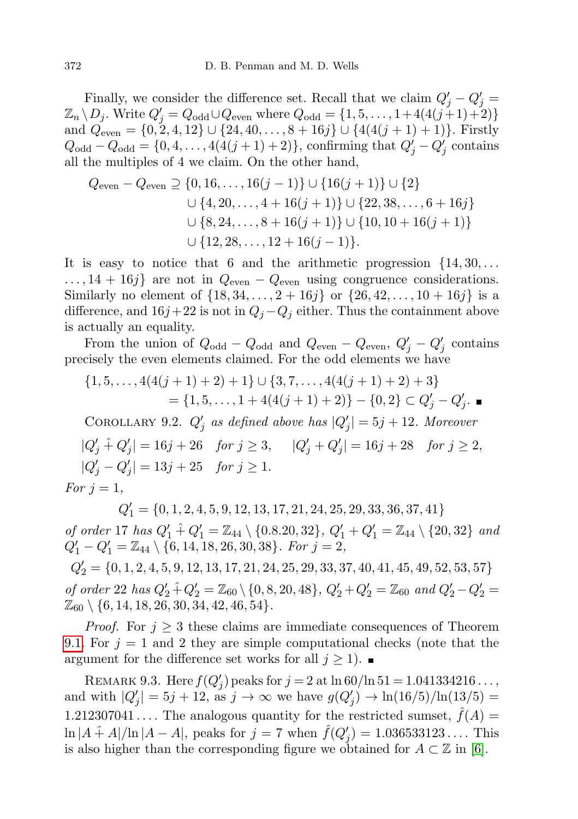Finally, we consider the difference set. Recall that we claim  $Q'_{j} - Q'_{j} =$  $\mathbb{Z}_n \setminus D_j$ . Write  $Q'_j = Q_{\text{odd}} \cup Q_{\text{even}}$  where  $Q_{\text{odd}} = \{1, 5, \ldots, 1 + 4(4(j+1)+2)\}$ and  $Q_{even} = \{0, 2, 4, 12\} \cup \{24, 40, \ldots, 8 + 16j\} \cup \{4(4(j + 1) + 1)\}\.$  Firstly  $Q_{\text{odd}} - Q_{\text{odd}} = \{0, 4, ..., 4(4(j + 1) + 2)\}\)$ , confirming that  $Q'_{j} - Q'_{j}$  contains all the multiples of 4 we claim. On the other hand,

$$
Q_{\text{even}} - Q_{\text{even}} \supseteq \{0, 16, \dots, 16(j-1)\} \cup \{16(j+1)\} \cup \{2\}
$$
  

$$
\cup \{4, 20, \dots, 4 + 16(j+1)\} \cup \{22, 38, \dots, 6 + 16j\}
$$
  

$$
\cup \{8, 24, \dots, 8 + 16(j+1)\} \cup \{10, 10 + 16(j+1)\}
$$
  

$$
\cup \{12, 28, \dots, 12 + 16(j-1)\}.
$$

It is easy to notice that 6 and the arithmetic progression  $\{14, 30, \ldots\}$  $\dots$ , 14 + 16j} are not in  $Q_{even} - Q_{even}$  using congruence considerations. Similarly no element of  $\{18, 34, \ldots, 2 + 16j\}$  or  $\{26, 42, \ldots, 10 + 16j\}$  is a difference, and  $16j+22$  is not in  $Q_j - Q_j$  either. Thus the containment above is actually an equality.

From the union of  $Q_{odd} - Q_{odd}$  and  $Q_{even} - Q_{even}$ ,  $Q'_{j} - Q'_{j}$  contains precisely the even elements claimed. For the odd elements we have

$$
\{1, 5, \dots, 4(4(j + 1) + 2) + 1\} \cup \{3, 7, \dots, 4(4(j + 1) + 2) + 3\}
$$
  
=  $\{1, 5, \dots, 1 + 4(4(j + 1) + 2)\} - \{0, 2\} \subset Q'_j - Q'_j.$ 

COROLLARY 9.2.  $Q'_j$  as defined above has  $|Q'_j| = 5j + 12$ . Moreover

 $|Q'_{j} \hat{+} Q'_{j}| = 16j + 26 \quad \text{for } j \geq 3, \quad |Q'_{j} + Q'_{j}| = 16j + 28 \quad \text{for } j \geq 2,$  $|Q'_{j} - Q'_{j}| = 13j + 25$  for  $j \ge 1$ .

For  $j = 1$ ,

 $Q_1'=\{0,1,2,4,5,9,12,13,17,21,24,25,29,33,36,37,41\}$ 

of order 17 has  $Q'_1 \hat{+} Q'_1 = \mathbb{Z}_{44} \setminus \{0.8.20, 32\}, Q'_1 + Q'_1 = \mathbb{Z}_{44} \setminus \{20, 32\}$  and  $Q'_1 - Q'_1 = \mathbb{Z}_{44} \setminus \{6, 14, 18, 26, 30, 38\}$ . For  $j = 2$ ,

 $Q_2^\prime = \{ 0, 1, 2, 4, 5, 9, 12, 13, 17, 21, 24, 25, 29, 33, 37, 40, 41, 45, 49, 52, 53, 57 \}$ of order 22 has  $Q'_2 \hat{+} Q'_2 = \mathbb{Z}_{60} \setminus \{0, 8, 20, 48\}, Q'_2 + Q'_2 = \mathbb{Z}_{60}$  and  $Q'_2 - Q'_2 =$  $\mathbb{Z}_{60} \setminus \{6, 14, 18, 26, 30, 34, 42, 46, 54\}.$ 

*Proof.* For  $j \geq 3$  these claims are immediate consequences of Theorem [9.1.](#page-10-1) For  $j = 1$  and 2 they are simple computational checks (note that the argument for the difference set works for all  $j \geq 1$ . ■

REMARK 9.3. Here  $f(Q'_j)$  peaks for  $j = 2$  at  $\ln 60 / \ln 51 = 1.041334216...$ and with  $|Q'_j| = 5j + 12$ , as  $j \to \infty$  we have  $g(Q'_j) \to \ln(16/5)/\ln(13/5) =$ 1.212307041.... The analogous quantity for the restricted sumset,  $\hat{f}(A)$  =  $\ln |A \hat{+} A| / \ln |A - A|$ , peaks for  $j = 7$  when  $\hat{f}(Q'_j) = 1.036533123...$  This is also higher than the corresponding figure we obtained for  $A \subset \mathbb{Z}$  in [\[6\]](#page-21-3).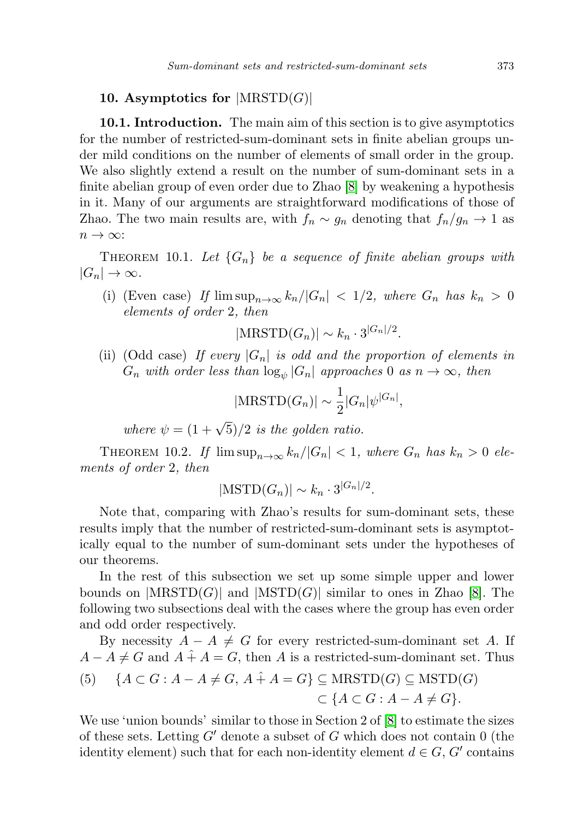### <span id="page-12-0"></span>10. Asymptotics for  $|\text{MRSTD}(G)|$

10.1. Introduction. The main aim of this section is to give asymptotics for the number of restricted-sum-dominant sets in finite abelian groups under mild conditions on the number of elements of small order in the group. We also slightly extend a result on the number of sum-dominant sets in a finite abelian group of even order due to Zhao [\[8\]](#page-22-1) by weakening a hypothesis in it. Many of our arguments are straightforward modifications of those of Zhao. The two main results are, with  $f_n \sim g_n$  denoting that  $f_n/g_n \to 1$  as  $n \to \infty$ :

<span id="page-12-1"></span>THEOREM 10.1. Let  ${G_n}$  be a sequence of finite abelian groups with  $|G_n| \to \infty$ .

(i) (Even case) If  $\limsup_{n\to\infty} k_n/|G_n| < 1/2$ , where  $G_n$  has  $k_n > 0$ elements of order 2, then

 $|\text{MRSTD}(G_n)| \sim k_n \cdot 3^{|G_n|/2}.$ 

(ii) (Odd case) If every  $|G_n|$  is odd and the proportion of elements in  $G_n$  with order less than  $\log_{\psi} |G_n|$  approaches 0 as  $n \to \infty$ , then

$$
|\text{MRSTD}(G_n)| \sim \frac{1}{2}|G_n|\psi^{|G_n|},
$$

where  $\psi = (1 + \sqrt{5})/2$  is the golden ratio.

<span id="page-12-2"></span>THEOREM 10.2. If  $\limsup_{n\to\infty} k_n/|G_n| < 1$ , where  $G_n$  has  $k_n > 0$  elements of order 2, then

$$
|\text{MSTD}(G_n)| \sim k_n \cdot 3^{|G_n|/2}.
$$

Note that, comparing with Zhao's results for sum-dominant sets, these results imply that the number of restricted-sum-dominant sets is asymptotically equal to the number of sum-dominant sets under the hypotheses of our theorems.

In the rest of this subsection we set up some simple upper and lower bounds on  $|MRSTD(G)|$  and  $|MSTD(G)|$  similar to ones in Zhao [\[8\]](#page-22-1). The following two subsections deal with the cases where the group has even order and odd order respectively.

By necessity  $A - A \neq G$  for every restricted-sum-dominant set A. If  $A - A \neq G$  and  $A + A = G$ , then A is a restricted-sum-dominant set. Thus

(5) 
$$
\{A \subset G : A - A \neq G, A + A = G\} \subseteq \text{MRSTD}(G) \subseteq \text{MSTD}(G)
$$

$$
\subset \{A \subset G : A - A \neq G\}.
$$

We use 'union bounds' similar to those in Section 2 of  $[8]$  to estimate the sizes of these sets. Letting  $G'$  denote a subset of G which does not contain 0 (the identity element) such that for each non-identity element  $d \in G$ , G' contains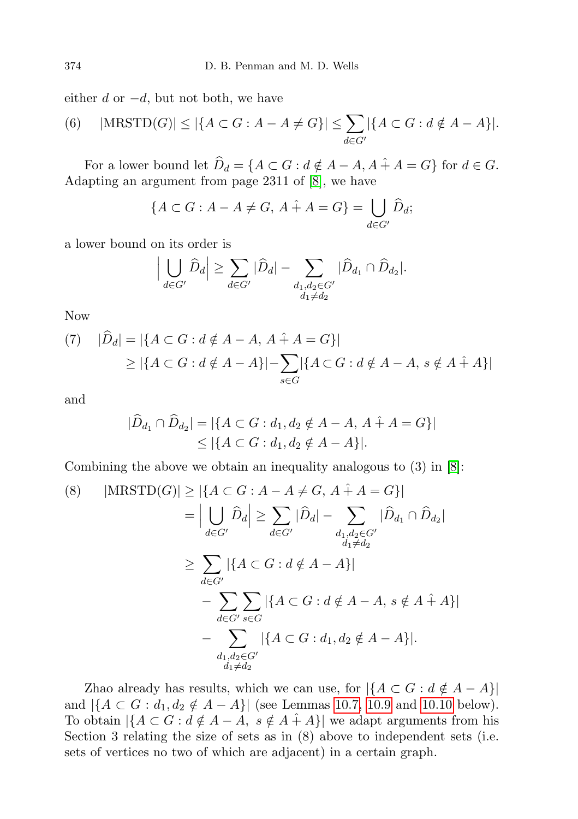either  $d$  or  $-d$ , but not both, we have

(6) 
$$
|\text{MRSTD}(G)| \le |\{A \subset G : A - A \neq G\}| \le \sum_{d \in G'} |\{A \subset G : d \notin A - A\}|.
$$

For a lower bound let  $\widehat{D}_d = \{A \subset G : d \notin A - A, A + A = G\}$  for  $d \in G$ . Adapting an argument from page 2311 of [\[8\]](#page-22-1), we have

$$
\{A \subset G : A - A \neq G, A + A = G\} = \bigcup_{d \in G'} \widehat{D}_d;
$$

a lower bound on its order is

$$
\Big|\bigcup_{d\in G'}\widehat{D}_d\Big|\geq \sum_{d\in G'}|\widehat{D}_d|-\sum_{\substack{d_1,d_2\in G'\\d_1\neq d_2}}|\widehat{D}_{d_1}\cap \widehat{D}_{d_2}|.
$$

Now

<span id="page-13-0"></span>(7) 
$$
|\widehat{D}_d| = |\{A \subset G : d \notin A - A, A + A = G\}|
$$
  
\n $\geq |\{A \subset G : d \notin A - A\}| - \sum_{s \in G} |\{A \subset G : d \notin A - A, s \notin A + A\}|$ 

and

$$
|\widehat{D}_{d_1} \cap \widehat{D}_{d_2}| = |\{A \subset G : d_1, d_2 \notin A - A, A + A = G\}|
$$
  
\$\leq |\{A \subset G : d\_1, d\_2 \notin A - A\}|\$.

Combining the above we obtain an inequality analogous to (3) in [\[8\]](#page-22-1):

<span id="page-13-1"></span>(8) 
$$
|\text{MRSTD}(G)| \geq |\{A \subset G : A - A \neq G, A + A = G\}|
$$
  
\n
$$
= \Big| \bigcup_{d \in G'} \widehat{D}_d \Big| \geq \sum_{d \in G'} |\widehat{D}_d| - \sum_{\substack{d_1, d_2 \in G' \\ d_1 \neq d_2}} |\widehat{D}_{d_1} \cap \widehat{D}_{d_2}|
$$
  
\n
$$
\geq \sum_{d \in G'} |\{A \subset G : d \notin A - A\}|
$$
  
\n
$$
- \sum_{d \in G'} \sum_{s \in G} |\{A \subset G : d \notin A - A, s \notin A + A\}|
$$
  
\n
$$
- \sum_{\substack{d_1, d_2 \in G' \\ d_1 \neq d_2}} |\{A \subset G : d_1, d_2 \notin A - A\}|.
$$

Zhao already has results, which we can use, for  $|\{A \subset G : d \notin A - A\}|$ and  $|\{A \subset G : d_1, d_2 \notin A - A\}|$  (see Lemmas [10.7,](#page-15-0) [10.9](#page-15-1) and [10.10](#page-15-2) below). To obtain  $|\{A \subset G : d \notin A - \overline{A}, s \notin A + A\}|$  we adapt arguments from his Section 3 relating the size of sets as in (8) above to independent sets (i.e. sets of vertices no two of which are adjacent) in a certain graph.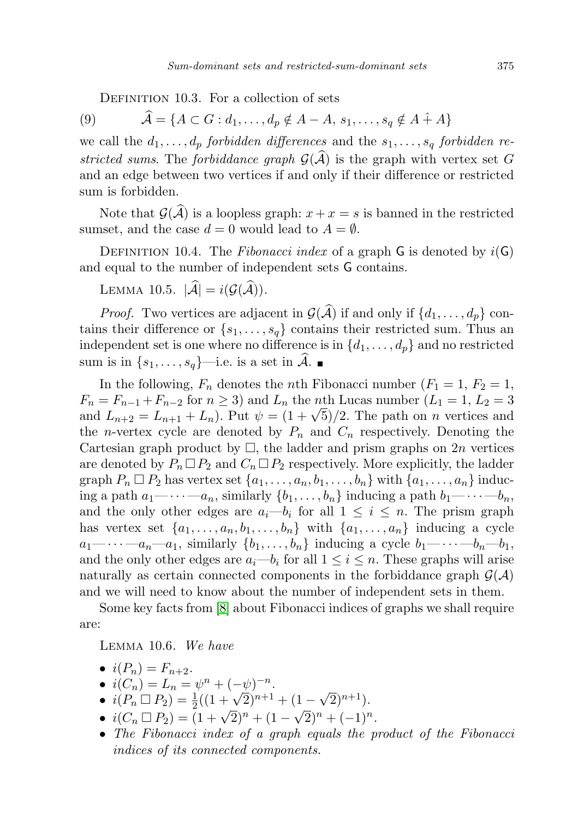DEFINITION 10.3. For a collection of sets

(9)  $\hat{A} = \{A \subset G : d_1, \ldots, d_n \notin A - A, s_1, \ldots, s_q \notin A + A\}$ 

we call the  $d_1, \ldots, d_p$  forbidden differences and the  $s_1, \ldots, s_q$  forbidden restricted sums. The forbiddance graph  $\mathcal{G}(\hat{\mathcal{A}})$  is the graph with vertex set G and an edge between two vertices if and only if their difference or restricted sum is forbidden.

Note that  $\mathcal{G}(\mathcal{A})$  is a loopless graph:  $x + x = s$  is banned in the restricted sumset, and the case  $d = 0$  would lead to  $A = \emptyset$ .

DEFINITION 10.4. The Fibonacci index of a graph G is denoted by  $i(G)$ and equal to the number of independent sets G contains.

LEMMA 10.5.  $|\widehat{\mathcal{A}}| = i(\mathcal{G}(\widehat{\mathcal{A}})).$ 

*Proof.* Two vertices are adjacent in  $\mathcal{G}(\widehat{\mathcal{A}})$  if and only if  $\{d_1, \ldots, d_p\}$  contains their difference or  $\{s_1, \ldots, s_q\}$  contains their restricted sum. Thus an independent set is one where no difference is in  $\{d_1, \ldots, d_p\}$  and no restricted sum is in  $\{s_1, \ldots, s_q\}$ —i.e. is a set in  $\mathcal{A}$ .

In the following,  $F_n$  denotes the *n*th Fibonacci number  $(F_1 = 1, F_2 = 1,$  $F_n = F_{n-1} + F_{n-2}$  for  $n \ge 3$ ) and  $L_n$  the *n*th Lucas number  $(L_1 = 1, L_2 = 3)$  $r_n = r_{n-1} + r_{n-2}$  for  $n \ge 3$  and  $L_n$  the *n*th Lucas number  $(L_1 = 1, L_2 = 3)$ <br>and  $L_{n+2} = L_{n+1} + L_n$ . Put  $\psi = (1 + \sqrt{5})/2$ . The path on *n* vertices and the *n*-vertex cycle are denoted by  $P_n$  and  $C_n$  respectively. Denoting the Cartesian graph product by  $\Box$ , the ladder and prism graphs on 2n vertices are denoted by  $P_n \square P_2$  and  $C_n \square P_2$  respectively. More explicitly, the ladder graph  $P_n \square P_2$  has vertex set  $\{a_1, \ldots, a_n, b_1, \ldots, b_n\}$  with  $\{a_1, \ldots, a_n\}$  inducing a path  $a_1$ — $\cdots$ — $a_n$ , similarly  $\{b_1, \ldots, b_n\}$  inducing a path  $b_1$ — $\cdots$ — $b_n$ , and the only other edges are  $a_i-b_i$  for all  $1 \leq i \leq n$ . The prism graph has vertex set  $\{a_1, \ldots, a_n, b_1, \ldots, b_n\}$  with  $\{a_1, \ldots, a_n\}$  inducing a cycle  $a_1 - \cdots - a_n - a_1$ , similarly  $\{b_1, \ldots, b_n\}$  inducing a cycle  $b_1 - \cdots - b_n - b_1$ , and the only other edges are  $a_i-b_i$  for all  $1 \leq i \leq n$ . These graphs will arise naturally as certain connected components in the forbiddance graph  $\mathcal{G}(\mathcal{A})$ and we will need to know about the number of independent sets in them.

Some key facts from [\[8\]](#page-22-1) about Fibonacci indices of graphs we shall require are:

<span id="page-14-0"></span>Lemma 10.6. We have

$$
\bullet \ \ i(P_n)=F_{n+2}.
$$

- $i(C_n) = L_n = \psi^n + (-\psi)^{-n}$ .
- $i(P_n \square P_2) = \frac{1}{2}((1 + \sqrt{2})^{n+1} + (1 \sqrt{2})^{n+1}).$
- $i(C_n \Box P_2) = (1 + \sqrt{2})^n + (1 \sqrt{2})^n + (-1)^n$ .<br>•  $i(C_n \Box P_2) = (1 + \sqrt{2})^n + (1 \sqrt{2})^n + (-1)^n$ .
- The Fibonacci index of a graph equals the product of the Fibonacci indices of its connected components.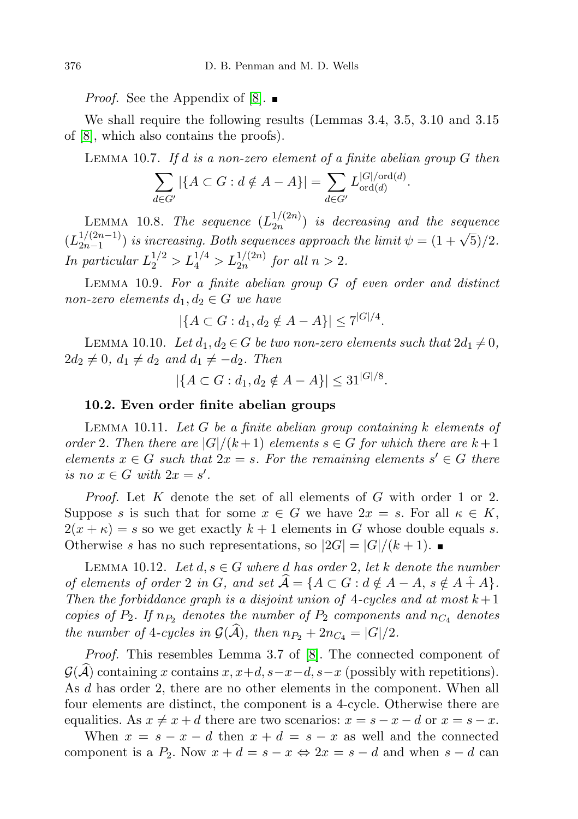*Proof.* See the Appendix of [\[8\]](#page-22-1).  $\blacksquare$ 

We shall require the following results (Lemmas 3.4, 3.5, 3.10 and 3.15 of [\[8\]](#page-22-1), which also contains the proofs).

<span id="page-15-0"></span>LEMMA 10.7. If  $d$  is a non-zero element of a finite abelian group  $G$  then

$$
\sum_{d \in G'} |\{A \subset G : d \notin A - A\}| = \sum_{d \in G'} L_{\text{ord}(d)}^{|G| / \text{ord}(d)}.
$$

<span id="page-15-5"></span>LEMMA 10.8. The sequence  $(L_{2n}^{1/(2n)})$  $\binom{1}{2n}$  is decreasing and the sequence  $(L_{2n-1}^{1/(2n-1)}$  $\frac{1/(2n-1)}{2n-1}$ ) is increasing. Both sequences approach the limit  $\psi = (1+\sqrt{5})/2$ . In particular  $L_2^{1/2} > L_4^{1/4} > L_{2n}^{1/(2n)}$  for all  $n > 2$ .

<span id="page-15-1"></span>LEMMA  $10.9$ . For a finite abelian group  $G$  of even order and distinct non-zero elements  $d_1, d_2 \in G$  we have

$$
|\{A \subset G : d_1, d_2 \notin A - A\}| \le 7^{|G|/4}.
$$

<span id="page-15-2"></span>LEMMA 10.10. Let  $d_1, d_2 \in G$  be two non-zero elements such that  $2d_1 \neq 0$ ,  $2d_2 \neq 0$ ,  $d_1 \neq d_2$  and  $d_1 \neq -d_2$ . Then

$$
|\{A \subset G : d_1, d_2 \notin A - A\}| \le 31^{|G|/8}.
$$

#### 10.2. Even order finite abelian groups

<span id="page-15-3"></span>LEMMA 10.11. Let  $G$  be a finite abelian group containing k elements of order 2. Then there are  $|G|/(k+1)$  elements  $s \in G$  for which there are  $k+1$ elements  $x \in G$  such that  $2x = s$ . For the remaining elements  $s' \in G$  there is no  $x \in G$  with  $2x = s'$ .

Proof. Let K denote the set of all elements of G with order 1 or 2. Suppose s is such that for some  $x \in G$  we have  $2x = s$ . For all  $\kappa \in K$ ,  $2(x + \kappa) = s$  so we get exactly  $k + 1$  elements in G whose double equals s. Otherwise s has no such representations, so  $|2G| = |G|/(k+1)$ .

<span id="page-15-4"></span>LEMMA 10.12. Let  $d, s \in G$  where d has order 2, let k denote the number of elements of order 2 in G, and set  $\widehat{A} = \{A \subset G : d \notin A - A, s \notin A + A\}.$ Then the forbiddance graph is a disjoint union of 4-cycles and at most  $k+1$ copies of  $P_2$ . If  $n_{P_2}$  denotes the number of  $P_2$  components and  $n_{C_4}$  denotes the number of 4-cycles in  $\mathcal{G}(\widehat{\mathcal{A}})$ , then  $n_{P_2} + 2n_{C_4} = |G|/2$ .

Proof. This resembles Lemma 3.7 of [\[8\]](#page-22-1). The connected component of  $\mathcal{G}(\mathcal{A})$  containing x contains  $x, x+d, s-x-d, s-x$  (possibly with repetitions). As d has order 2, there are no other elements in the component. When all four elements are distinct, the component is a 4-cycle. Otherwise there are equalities. As  $x \neq x + d$  there are two scenarios:  $x = s - x - d$  or  $x = s - x$ .

When  $x = s - x - d$  then  $x + d = s - x$  as well and the connected component is a  $P_2$ . Now  $x + d = s - x \Leftrightarrow 2x = s - d$  and when  $s - d$  can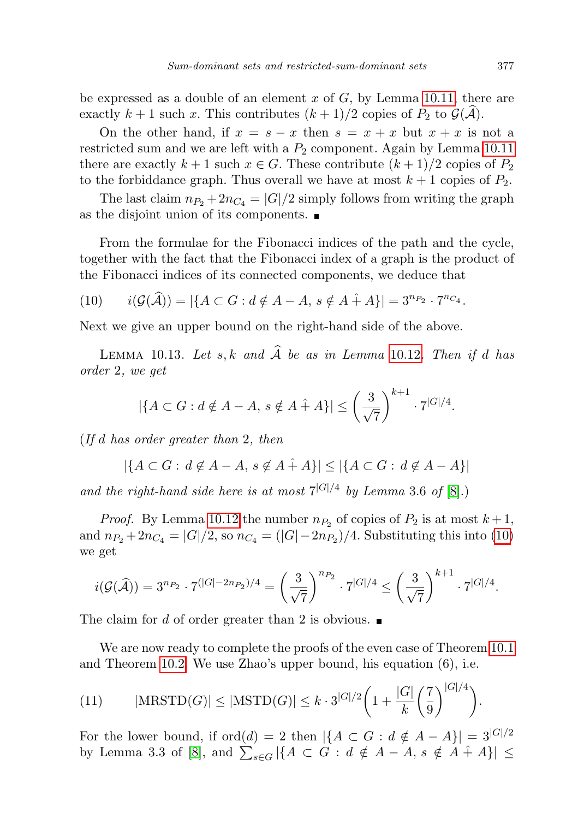be expressed as a double of an element  $x$  of  $G$ , by Lemma [10.11,](#page-15-3) there are exactly  $k + 1$  such x. This contributes  $(k + 1)/2$  copies of  $P_2$  to  $\mathcal{G}(\mathcal{A})$ .

On the other hand, if  $x = s - x$  then  $s = x + x$  but  $x + x$  is not a restricted sum and we are left with a  $P_2$  component. Again by Lemma [10.11](#page-15-3) there are exactly  $k+1$  such  $x \in G$ . These contribute  $(k+1)/2$  copies of  $P_2$ to the forbiddance graph. Thus overall we have at most  $k+1$  copies of  $P_2$ .

The last claim  $n_{P_2} + 2n_{C_4} = |G|/2$  simply follows from writing the graph as the disjoint union of its components.

From the formulae for the Fibonacci indices of the path and the cycle, together with the fact that the Fibonacci index of a graph is the product of the Fibonacci indices of its connected components, we deduce that

<span id="page-16-0"></span>(10) 
$$
i(\mathcal{G}(\hat{\mathcal{A}})) = |\{A \subset G : d \notin A - A, s \notin A + A\}| = 3^{n_{P_2}} \cdot 7^{n_{C_4}}.
$$

<span id="page-16-1"></span>Next we give an upper bound on the right-hand side of the above.

LEMMA 10.13. Let s, k and  $\widehat{A}$  be as in Lemma [10.12](#page-15-4). Then if d has order 2, we get

$$
|\{A \subset G : d \notin A - A, s \notin A + A\}| \le \left(\frac{3}{\sqrt{7}}\right)^{k+1} \cdot 7^{|G|/4}.
$$

(If d has order greater than 2, then

$$
|\{A \subset G : d \notin A - A, s \notin A + A\}| \leq |\{A \subset G : d \notin A - A\}|
$$

and the right-hand side here is at most  $7^{|G|/4}$  by Lemma 3.6 of [\[8\]](#page-22-1).)

*Proof.* By Lemma [10.12](#page-15-4) the number  $n_{P_2}$  of copies of  $P_2$  is at most  $k+1$ , and  $n_{P_2} + 2n_{C_4} = |G|/2$ , so  $n_{C_4} = (|G| - 2n_{P_2})/4$ . Substituting this into [\(10\)](#page-16-0) we get

$$
i(\mathcal{G}(\widehat{\mathcal{A}})) = 3^{n_{P_2}} \cdot 7^{(|G|-2n_{P_2})/4} = \left(\frac{3}{\sqrt{7}}\right)^{n_{P_2}} \cdot 7^{|G|/4} \le \left(\frac{3}{\sqrt{7}}\right)^{k+1} \cdot 7^{|G|/4}.
$$

The claim for d of order greater than 2 is obvious.

We are now ready to complete the proofs of the even case of Theorem [10.1](#page-12-1) and Theorem [10.2.](#page-12-2) We use Zhao's upper bound, his equation (6), i.e.

<span id="page-16-2"></span>(11) 
$$
|\text{MRSTD}(G)| \le |\text{MSTD}(G)| \le k \cdot 3^{|G|/2} \left(1 + \frac{|G|}{k} \left(\frac{7}{9}\right)^{|G|/4}\right).
$$

For the lower bound, if  $\text{ord}(d) = 2$  then  $|\{A \subset G : d \notin A - A\}| = 3^{|G|/2}$ by Lemma 3.3 of [\[8\]](#page-22-1), and  $\sum_{s \in G} |\{A \subset G : d \notin A - A, s \notin A + A\}|$   $\leq$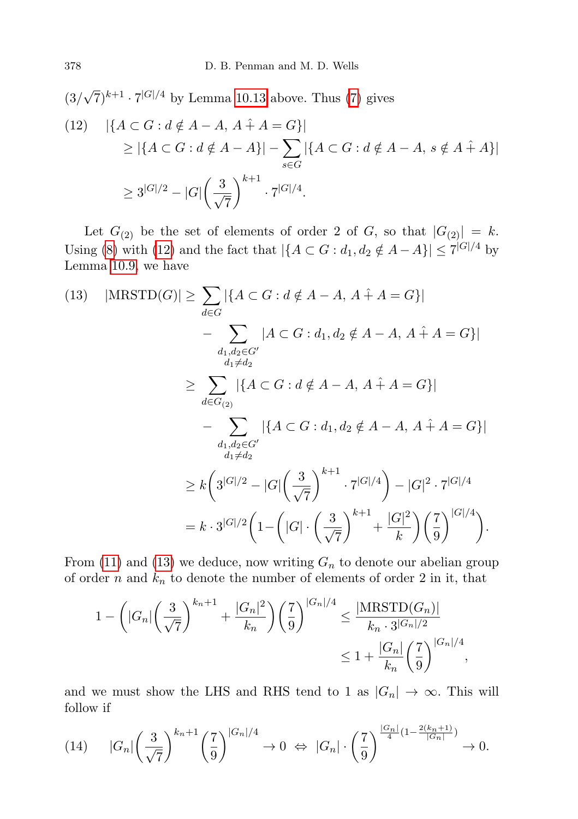(3/  $(\sqrt{7})^{k+1} \cdot 7^{|G|/4}$  by Lemma [10.13](#page-16-1) above. Thus [\(7\)](#page-13-0) gives

<span id="page-17-0"></span>
$$
(12) \quad |\{A \subset G : d \notin A - A, A + A = G\}|
$$
  
\n
$$
\ge |\{A \subset G : d \notin A - A\}| - \sum_{s \in G} |\{A \subset G : d \notin A - A, s \notin A + A\}|
$$
  
\n
$$
\ge 3^{|G|/2} - |G| \left(\frac{3}{\sqrt{7}}\right)^{k+1} \cdot 7^{|G|/4}.
$$

Let  $G_{(2)}$  be the set of elements of order 2 of G, so that  $|G_{(2)}| = k$ . Using [\(8\)](#page-13-1) with [\(12\)](#page-17-0) and the fact that  $|\{A \subset G : d_1, d_2 \notin A - A\}| \leq 7^{|G|/4}$  by Lemma [10.9,](#page-15-1) we have

<span id="page-17-1"></span>
$$
(13) \quad |\text{MRSTD}(G)| \geq \sum_{d \in G} |\{A \subset G : d \notin A - A, A + A = G\}|
$$
  
\n
$$
- \sum_{\substack{d_1, d_2 \in G' \\ d_1 \neq d_2}} |A \subset G : d_1, d_2 \notin A - A, A + A = G\}|
$$
  
\n
$$
\geq \sum_{d \in G_{(2)}} |\{A \subset G : d \notin A - A, A + A = G\}|
$$
  
\n
$$
- \sum_{\substack{d_1, d_2 \in G' \\ d_1 \neq d_2}} |\{A \subset G : d_1, d_2 \notin A - A, A + A = G\}|
$$
  
\n
$$
\geq k \left(3^{|G|/2} - |G| \left(\frac{3}{\sqrt{7}}\right)^{k+1} \cdot 7^{|G|/4}\right) - |G|^2 \cdot 7^{|G|/4}
$$
  
\n
$$
= k \cdot 3^{|G|/2} \left(1 - \left(|G| \cdot \left(\frac{3}{\sqrt{7}}\right)^{k+1} + \frac{|G|^2}{k}\right) \left(\frac{7}{9}\right)^{|G|/4}\right).
$$

From [\(11\)](#page-16-2) and [\(13\)](#page-17-1) we deduce, now writing  $G_n$  to denote our abelian group of order n and  $k_n$  to denote the number of elements of order 2 in it, that

$$
1 - \left(|G_n| \left(\frac{3}{\sqrt{7}}\right)^{k_n+1} + \frac{|G_n|^2}{k_n}\right) \left(\frac{7}{9}\right)^{|G_n|/4} \le \frac{|\text{MRSTD}(G_n)|}{k_n \cdot 3^{|G_n|/2}} \le 1 + \frac{|G_n|}{k_n} \left(\frac{7}{9}\right)^{|G_n|/4},
$$

and we must show the LHS and RHS tend to 1 as  $|G_n| \to \infty$ . This will follow if

<span id="page-17-2"></span>
$$
(14) \qquad |G_n|\left(\frac{3}{\sqrt{7}}\right)^{k_n+1}\left(\frac{7}{9}\right)^{|G_n|/4} \to 0 \ \Leftrightarrow \ |G_n|\cdot\left(\frac{7}{9}\right)^{\frac{|G_n|}{4}(1-\frac{2(k_n+1)}{|G_n|})} \to 0.
$$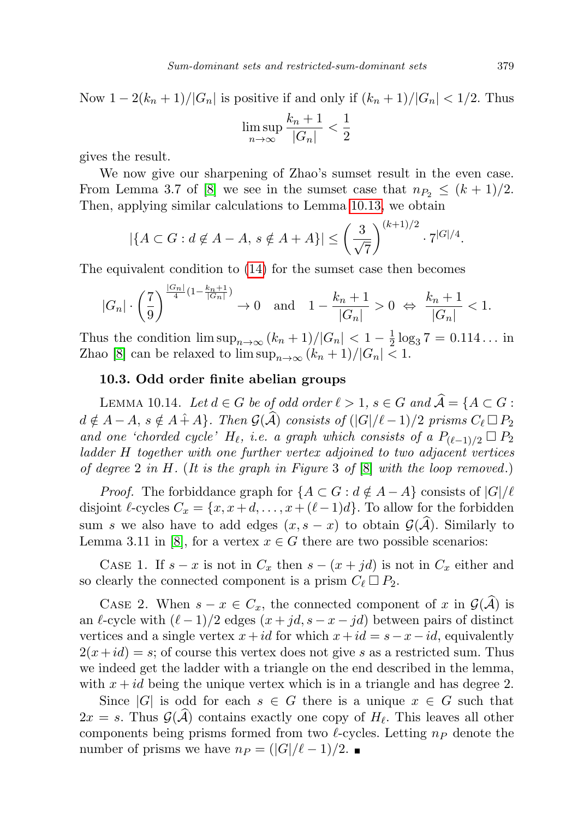Now  $1 - 2(k_n + 1)/|G_n|$  is positive if and only if  $(k_n + 1)/|G_n| < 1/2$ . Thus

$$
\limsup_{n \to \infty} \frac{k_n + 1}{|G_n|} < \frac{1}{2}
$$

gives the result.

We now give our sharpening of Zhao's sumset result in the even case. From Lemma 3.7 of [\[8\]](#page-22-1) we see in the sumset case that  $n_{P_2} \leq (k+1)/2$ . Then, applying similar calculations to Lemma [10.13,](#page-16-1) we obtain

$$
|\{A \subset G : d \notin A - A, s \notin A + A\}| \le \left(\frac{3}{\sqrt{7}}\right)^{(k+1)/2} \cdot 7^{|G|/4}.
$$

The equivalent condition to [\(14\)](#page-17-2) for the sumset case then becomes

$$
|G_n|\cdot \left(\frac{7}{9}\right)^{\frac{|G_n|}{4}(1-\frac{k_n+1}{|G_n|})}\to 0\quad \text{and}\quad 1-\frac{k_n+1}{|G_n|}>0 \ \Leftrightarrow\ \frac{k_n+1}{|G_n|}<1.
$$

Thus the condition  $\limsup_{n\to\infty}$   $(k_n+1)/|G_n| < 1-\frac{1}{2}$  $\frac{1}{2} \log_3 7 = 0.114...$  in Zhao [\[8\]](#page-22-1) can be relaxed to  $\limsup_{n\to\infty}$   $(k_n+1)/|G_n|<1$ .

#### 10.3. Odd order finite abelian groups

<span id="page-18-0"></span>LEMMA 10.14. Let  $d \in G$  be of odd order  $\ell > 1$ ,  $s \in G$  and  $\widehat{A} = \{A \subset G :$  $d \notin A - A$ ,  $s \notin A + A$ . Then  $\mathcal{G}(\hat{A})$  consists of  $(|G|/\ell - 1)/2$  prisms  $C_{\ell} \square P_2$ and one 'chorded cycle' H<sub>l</sub>, i.e. a graph which consists of a  $P_{(\ell-1)/2} \square P_2$ ladder H together with one further vertex adjoined to two adjacent vertices of degree 2 in H. (It is the graph in Figure 3 of  $[8]$  with the loop removed.)

*Proof.* The forbiddance graph for  $\{A \subset G : d \notin A - A\}$  consists of  $|G|/\ell$ disjoint  $\ell$ -cycles  $C_x = \{x, x+d, \ldots, x+(\ell-1)d\}$ . To allow for the forbidden sum s we also have to add edges  $(x, s - x)$  to obtain  $\mathcal{G}(\hat{\mathcal{A}})$ . Similarly to Lemma 3.11 in [\[8\]](#page-22-1), for a vertex  $x \in G$  there are two possible scenarios:

CASE 1. If  $s - x$  is not in  $C_x$  then  $s - (x + id)$  is not in  $C_x$  either and so clearly the connected component is a prism  $C_{\ell} \square P_2$ .

CASE 2. When  $s - x \in C_x$ , the connected component of x in  $\mathcal{G}(\hat{\mathcal{A}})$  is an  $\ell$ -cycle with  $(\ell - 1)/2$  edges  $(x + jd, s - x - jd)$  between pairs of distinct vertices and a single vertex  $x+id$  for which  $x+id = s-x-id$ , equivalently  $2(x+id) = s$ ; of course this vertex does not give s as a restricted sum. Thus we indeed get the ladder with a triangle on the end described in the lemma, with  $x + id$  being the unique vertex which is in a triangle and has degree 2.

<span id="page-18-1"></span>Since |G| is odd for each  $s \in G$  there is a unique  $x \in G$  such that  $2x = s$ . Thus  $\mathcal{G}(\mathcal{A})$  contains exactly one copy of  $H_{\ell}$ . This leaves all other components being prisms formed from two  $\ell$ -cycles. Letting  $n_P$  denote the number of prisms we have  $n_P = (|G|/\ell - 1)/2$ . ■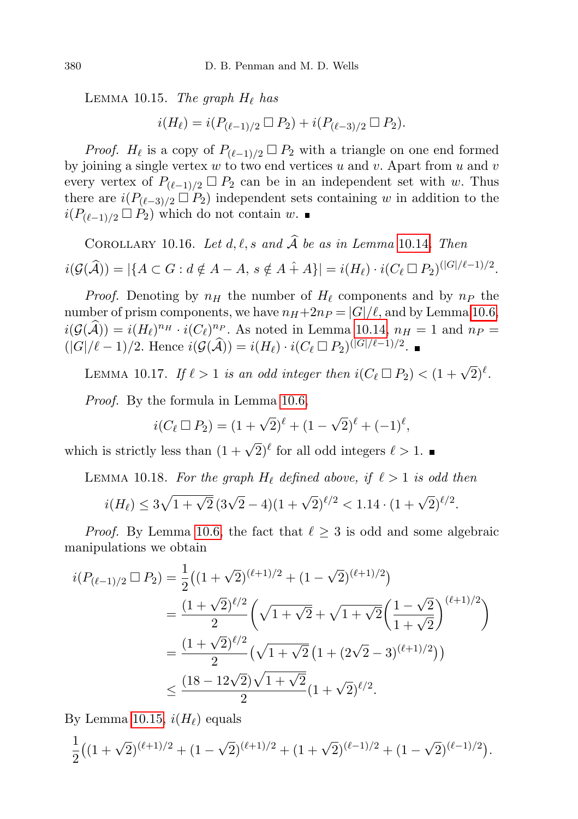LEMMA 10.15. The graph  $H_{\ell}$  has

$$
i(H_{\ell}) = i(P_{(\ell-1)/2} \Box P_2) + i(P_{(\ell-3)/2} \Box P_2).
$$

*Proof.*  $H_{\ell}$  is a copy of  $P_{(\ell-1)/2} \square P_2$  with a triangle on one end formed by joining a single vertex  $w$  to two end vertices  $u$  and  $v$ . Apart from  $u$  and  $v$ every vertex of  $P_{(\ell-1)/2} \square P_2$  can be in an independent set with w. Thus there are  $i(P_{(\ell-3)/2} \Box P_2)$  independent sets containing w in addition to the  $i(P_{(\ell-1)/2} \Box P_2)$  which do not contain w. ■

<span id="page-19-0"></span>COROLLARY 10.16. Let  $d, \ell, s$  and  $\widehat{\mathcal{A}}$  be as in Lemma [10.14](#page-18-0). Then  $i(G(\widehat{\mathcal{A}})) = |\{A \subset G : d \notin A - A, s \notin A + A\}| = i(H_{\ell}) \cdot i(C_{\ell} \Box P_2)^{(|G|/\ell-1)/2}.$ 

*Proof.* Denoting by  $n_H$  the number of  $H_\ell$  components and by  $n_P$  the number of prism components, we have  $n_H+2n_P = |G|/\ell$ , and by Lemma [10.6,](#page-14-0)  $i(\mathcal{G}(\hat{\mathcal{A}})) = i(H_\ell)^{n_H} \cdot i(C_\ell)^{n_P}$ . As noted in Lemma [10.14,](#page-18-0)  $n_H = 1$  and  $n_P =$  $(|G|/\ell - 1)/2$ . Hence  $i(G(\widehat{A})) = i(H_{\ell}) \cdot i(C_{\ell} \square P_2)^{(|G|/\ell - 1)/2}$ .

<span id="page-19-1"></span>LEMMA 10.17. If  $\ell > 1$  is an odd integer then  $i(C_{\ell} \Box P_2) < (1 + \sqrt{2})^{\ell}$ .

Proof. By the formula in Lemma [10.6,](#page-14-0)

$$
i(C_{\ell} \square P_2) = (1 + \sqrt{2})^{\ell} + (1 - \sqrt{2})^{\ell} + (-1)^{\ell},
$$

which is strictly less than  $(1 + \sqrt{2})^{\ell}$  for all odd integers  $\ell > 1$ .

<span id="page-19-2"></span>LEMMA 10.18. For the graph  $H_{\ell}$  defined above, if  $\ell > 1$  is odd then

$$
i(H_{\ell}) \le 3\sqrt{1+\sqrt{2}} \left(3\sqrt{2}-4\right)(1+\sqrt{2})^{\ell/2} < 1.14 \cdot (1+\sqrt{2})^{\ell/2}.
$$

*Proof.* By Lemma [10.6,](#page-14-0) the fact that  $\ell \geq 3$  is odd and some algebraic manipulations we obtain

$$
i(P_{(\ell-1)/2} \Box P_2) = \frac{1}{2} \left( (1 + \sqrt{2})^{(\ell+1)/2} + (1 - \sqrt{2})^{(\ell+1)/2} \right)
$$
  
= 
$$
\frac{(1 + \sqrt{2})^{\ell/2}}{2} \left( \sqrt{1 + \sqrt{2}} + \sqrt{1 + \sqrt{2}} \left( \frac{1 - \sqrt{2}}{1 + \sqrt{2}} \right)^{(\ell+1)/2} \right)
$$
  
= 
$$
\frac{(1 + \sqrt{2})^{\ell/2}}{2} \left( \sqrt{1 + \sqrt{2}} \left( 1 + (2\sqrt{2} - 3)^{(\ell+1)/2} \right) \right)
$$
  

$$
\leq \frac{(18 - 12\sqrt{2})\sqrt{1 + \sqrt{2}}}{2} (1 + \sqrt{2})^{\ell/2}.
$$

By Lemma [10.15,](#page-18-1)  $i(H_{\ell})$  equals

$$
\frac{1}{2} \big( (1+\sqrt{2})^{(\ell+1)/2} + (1-\sqrt{2})^{(\ell+1)/2} + (1+\sqrt{2})^{(\ell-1)/2} + (1-\sqrt{2})^{(\ell-1)/2} \big).
$$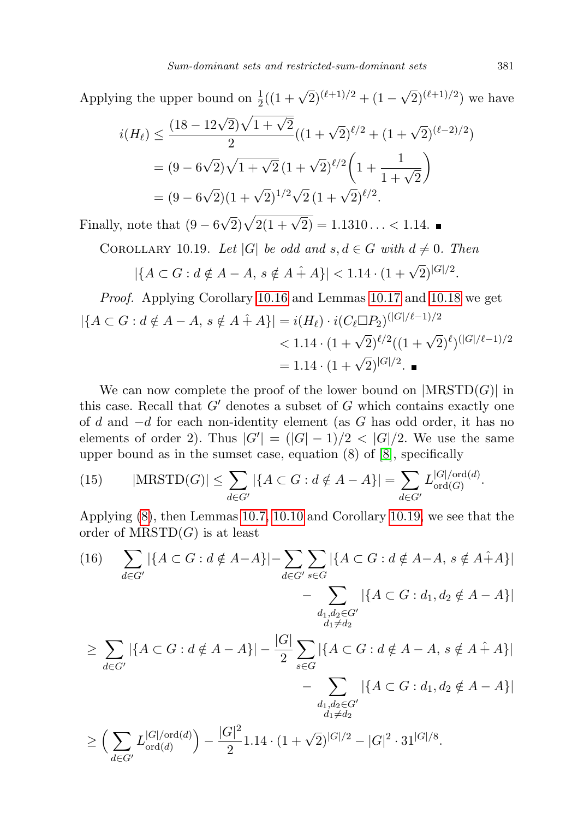Applying the upper bound on  $\frac{1}{2}((1+\sqrt{2})^{(\ell+1)/2} + (1-\sqrt{2})^{(\ell+1)/2})$  we have

$$
i(H_{\ell}) \le \frac{(18 - 12\sqrt{2})\sqrt{1 + \sqrt{2}}}{2}((1 + \sqrt{2})^{\ell/2} + (1 + \sqrt{2})^{(\ell-2)/2})
$$
  
=  $(9 - 6\sqrt{2})\sqrt{1 + \sqrt{2}}(1 + \sqrt{2})^{\ell/2}\left(1 + \frac{1}{1 + \sqrt{2}}\right)$   
=  $(9 - 6\sqrt{2})(1 + \sqrt{2})^{1/2}\sqrt{2}(1 + \sqrt{2})^{\ell/2}.$ 

Finally, note that  $(9-6)$  $\sqrt{2}$ ) $\sqrt{2(1 + \sqrt{2})} = 1.1310... < 1.14$ .

<span id="page-20-0"></span>COROLLARY 10.19. Let |G| be odd and  $s, d \in G$  with  $d \neq 0$ . Then

$$
|\{A \subset G : d \notin A - A, s \notin A + A\}| < 1.14 \cdot (1 + \sqrt{2})^{|G|/2}.
$$

*Proof.* Applying Corollary 10.16 and Lemmas 10.17 and 10.18 we get  
\n
$$
|\{A \subset G : d \notin A - A, s \notin A + A\}| = i(H_{\ell}) \cdot i(C_{\ell} \Box P_2)^{(|G|/\ell-1)/2}
$$
\n
$$
< 1.14 \cdot (1 + \sqrt{2})^{\ell/2}((1 + \sqrt{2})^{\ell})^{(|G|/\ell-1)/2}
$$
\n= 1.14 ⋅ (1 + √2)<sup>|G|/2</sup>. ■

We can now complete the proof of the lower bound on  $|\text{MRSTD}(G)|$  in this case. Recall that  $G'$  denotes a subset of G which contains exactly one of d and  $-d$  for each non-identity element (as G has odd order, it has no elements of order 2). Thus  $|G'| = (|G| - 1)/2 < |G|/2$ . We use the same upper bound as in the sumset case, equation (8) of [\[8\]](#page-22-1), specifically

<span id="page-20-1"></span>(15) 
$$
|\text{MRSTD}(G)| \le \sum_{d \in G'} |\{A \subset G : d \notin A - A\}| = \sum_{d \in G'} L_{\text{ord}(G)}^{|G|/\text{ord}(d)}
$$

Applying [\(8\)](#page-13-1), then Lemmas [10.7,](#page-15-0) [10.10](#page-15-2) and Corollary [10.19,](#page-20-0) we see that the order of  $M\text{RSTD}(G)$  is at least

<span id="page-20-2"></span>
$$
(16) \sum_{d \in G'} |\{A \subset G : d \notin A - A\}| - \sum_{d \in G'} \sum_{s \in G} |\{A \subset G : d \notin A - A, s \notin A + A\}|
$$
  
\n
$$
- \sum_{d_1, d_2 \in G'} |\{A \subset G : d_1, d_2 \notin A - A\}|
$$
  
\n
$$
\geq \sum_{d \in G'} |\{A \subset G : d \notin A - A\}| - \frac{|G|}{2} \sum_{s \in G} |\{A \subset G : d \notin A - A, s \notin A + A\}|
$$
  
\n
$$
- \sum_{d_1, d_2 \in G'} |\{A \subset G : d_1, d_2 \notin A - A\}|
$$
  
\n
$$
\geq \left(\sum_{d \in G'} L_{\text{ord}(d)}^{|G|/\text{ord}(d)}\right) - \frac{|G|^2}{2} 1.14 \cdot (1 + \sqrt{2})^{|G|/2} - |G|^2 \cdot 31^{|G|/8}.
$$

.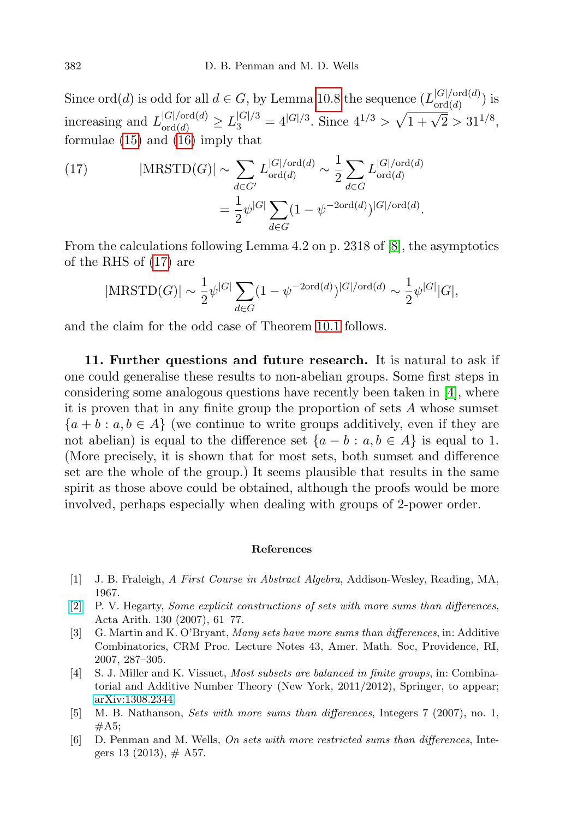Since ord(*d*) is odd for all  $d \in G$ , by Lemma [10.8](#page-15-5) the sequence  $(L_{\text{ord}(d)}^{|G|/\text{ord}(d)})$  $\log(d)$  is increasing and  $L_{\text{ord}(d)}^{|G|/\text{ord}(d)} \ge L_3^{|G|/3} = 4^{|G|/3}$ . Since  $4^{1/3} > \sqrt{1 + \sqrt{2}} > 31^{1/8}$ , formulae [\(15\)](#page-20-1) and [\(16\)](#page-20-2) imply that

<span id="page-21-6"></span>(17) 
$$
|\text{MRSTD}(G)| \sim \sum_{d \in G'} L_{\text{ord}(d)}^{|G|/\text{ord}(d)} \sim \frac{1}{2} \sum_{d \in G} L_{\text{ord}(d)}^{|G|/\text{ord}(d)}
$$

$$
= \frac{1}{2} \psi^{|G|} \sum_{d \in G} (1 - \psi^{-2 \text{ord}(d)})^{|G|/\text{ord}(d)}.
$$

From the calculations following Lemma 4.2 on p. 2318 of [\[8\]](#page-22-1), the asymptotics of the RHS of [\(17\)](#page-21-6) are

$$
|\text{MRSTD}(G)| \sim \frac{1}{2} \psi^{|G|} \sum_{d \in G} (1 - \psi^{-2 \text{ord}(d)})^{|G| / \text{ord}(d)} \sim \frac{1}{2} \psi^{|G|} |G|,
$$

and the claim for the odd case of Theorem [10.1](#page-12-1) follows.

<span id="page-21-4"></span>11. Further questions and future research. It is natural to ask if one could generalise these results to non-abelian groups. Some first steps in considering some analogous questions have recently been taken in [\[4\]](#page-21-7), where it is proven that in any finite group the proportion of sets A whose sumset  ${a + b : a, b \in A}$  (we continue to write groups additively, even if they are not abelian) is equal to the difference set  $\{a - b : a, b \in A\}$  is equal to 1. (More precisely, it is shown that for most sets, both sumset and difference set are the whole of the group.) It seems plausible that results in the same spirit as those above could be obtained, although the proofs would be more involved, perhaps especially when dealing with groups of 2-power order.

#### References

- <span id="page-21-5"></span>[1] J. B. Fraleigh, A First Course in Abstract Algebra, Addison-Wesley, Reading, MA, 1967.
- <span id="page-21-1"></span>[\[2\]](http://dx.doi.org/10.4064/aa130-1-4) P. V. Hegarty, Some explicit constructions of sets with more sums than differences, Acta Arith. 130 (2007), 61–77.
- <span id="page-21-0"></span>[3] G. Martin and K. O'Bryant, Many sets have more sums than differences, in: Additive Combinatorics, CRM Proc. Lecture Notes 43, Amer. Math. Soc, Providence, RI, 2007, 287–305.
- <span id="page-21-7"></span>[4] S. J. Miller and K. Vissuet, Most subsets are balanced in finite groups, in: Combinatorial and Additive Number Theory (New York, 2011/2012), Springer, to appear; [arXiv:1308.2344.](http://arxiv.org/abs/1308.2344)
- <span id="page-21-2"></span>[5] M. B. Nathanson, Sets with more sums than differences, Integers 7 (2007), no. 1,  $#A5;$
- <span id="page-21-3"></span>[6] D. Penman and M. Wells, On sets with more restricted sums than differences, Integers 13 (2013),  $\#$  A57.